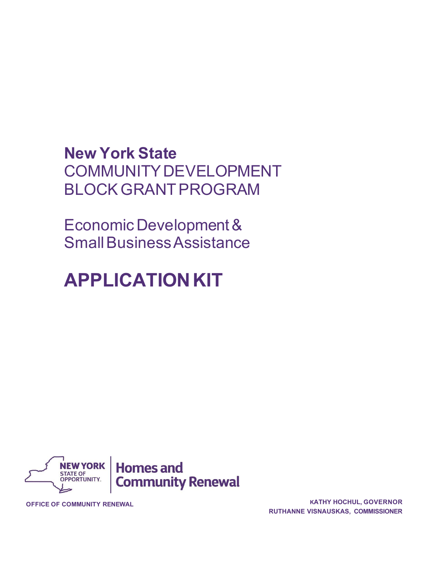# **New York State** COMMUNITYDEVELOPMENT BLOCKGRANTPROGRAM

Economic Development & SmallBusiness Assistance

# **APPLICATIONKIT**



**OFFICE OF COMMUNITY RENEWAL <sup>K</sup>ATHY HOCHUL, GOVERNOR RUTHANNE VISNAUSKAS, COMMISSIONER**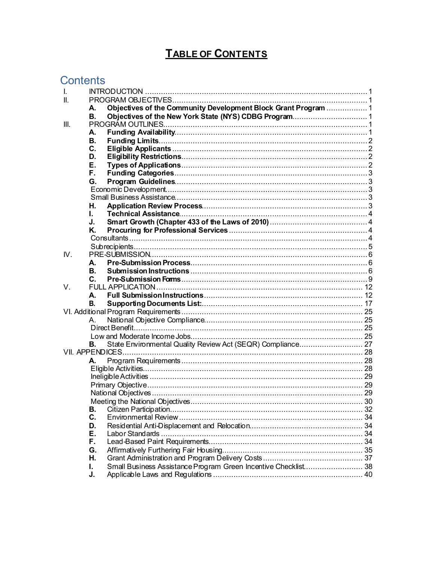# **TABLE OF CONTENTS**

# **Contents**

| $\mathbf{I}$ |           |                                                                |  |
|--------------|-----------|----------------------------------------------------------------|--|
| II.          |           |                                                                |  |
|              | А.        | Objectives of the Community Development Block Grant Program  1 |  |
|              | В.        |                                                                |  |
| III.         |           |                                                                |  |
|              | А.        |                                                                |  |
|              | <b>B.</b> |                                                                |  |
|              | C.        |                                                                |  |
|              | D.        |                                                                |  |
|              | Е.        |                                                                |  |
|              | F.        |                                                                |  |
|              | G.        |                                                                |  |
|              |           |                                                                |  |
|              |           |                                                                |  |
|              | Н.        |                                                                |  |
|              | L.        |                                                                |  |
|              | J.        |                                                                |  |
|              | Κ.        |                                                                |  |
|              |           |                                                                |  |
|              |           |                                                                |  |
| $W_{\cdot}$  |           |                                                                |  |
|              | A.        |                                                                |  |
|              | В.        |                                                                |  |
|              | C.        |                                                                |  |
| V.           |           |                                                                |  |
|              | А.        |                                                                |  |
|              | В.        |                                                                |  |
|              |           |                                                                |  |
|              | A         |                                                                |  |
|              |           |                                                                |  |
|              |           |                                                                |  |
|              | В.        | State Environmental Quality Review Act (SEQR) Compliance 27    |  |
|              |           |                                                                |  |
|              | А.        |                                                                |  |
|              |           |                                                                |  |
|              |           |                                                                |  |
|              |           |                                                                |  |
|              |           |                                                                |  |
|              |           |                                                                |  |
|              | В.        |                                                                |  |
|              | C.        |                                                                |  |
|              | D.        |                                                                |  |
|              | Е.        |                                                                |  |
|              | F.        |                                                                |  |
|              | G.        |                                                                |  |
|              | Η.        |                                                                |  |
|              | L.        | Small Business Assistance Program Green Incentive Checklist 38 |  |
|              | J.        |                                                                |  |
|              |           |                                                                |  |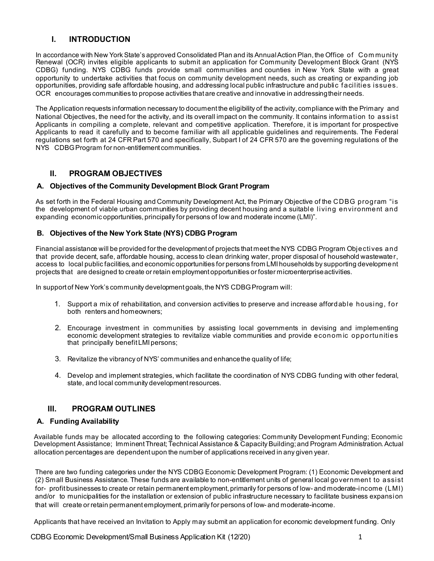# **I. INTRODUCTION**

<span id="page-2-0"></span>In accordance with New York State's approved Consolidated Plan and its AnnualAction Plan, the Office of Com munity Renewal (OCR) invites eligible applicants to submit an application for Community Development Block Grant (NYS CDBG) funding. NYS CDBG funds provide small communities and counties in New York State with a great opportunity to undertake activities that focus on community development needs, such as creating or expanding job opportunities, providing safe affordable housing, and addressing local public infrastructure and public facilities issues. OCR encourages communities to propose activities that are creative and innovative in addressing their needs.

The Application requests information necessary to document the eligibility of the activity, compliance with the Primary and National Objectives, the need for the activity, and its overall impact on the community. It contains information to assist Applicants in compiling a complete, relevant and competitive application. Therefore, it is important for prospective Applicants to read it carefully and to become familiar with all applicable guidelines and requirements. The Federal regulations set forth at 24 CFR Part 570 and specifically, Subpart I of 24 CFR 570 are the governing regulations of the NYS CDBGProgram for non-entitlement communities.

# **II. PROGRAM OBJECTIVES**

#### <span id="page-2-2"></span><span id="page-2-1"></span>**A. Objectives of the Community Development Block Grant Program**

As set forth in the Federal Housing and Community Development Act, the Primary Objective of the CDBG program "is the development of viable urban communities by providing decent housing and a suitable living environment and expanding economic opportunities, principally for persons of low and moderate income (LMI)".

#### <span id="page-2-3"></span>**B. Objectives of the New York State (NYS) CDBG Program**

Financial assistance will be provided for the development of projects that meet the NYS CDBG Program Objectives and that provide decent, safe, affordable housing, access to clean drinking water, proper disposal of household wastewater, access to local public facilities, and economic opportunities for persons from LMI households by supporting development projects that are designed to create or retain employment opportunities or foster microenterpriseactivities.

In support of New York's community development goals, the NYS CDBG Program will:

- 1. Support a mix of rehabilitation, and conversion activities to preserve and increase affordable housing, for both renters and homeowners;
- 2. Encourage investment in communities by assisting local governments in devising and implementing economic development strategies to revitalize viable communities and provide econom ic opportunities that principally benefit LMI persons;
- 3. Revitalize the vibrancy of NYS' communities and enhancethe quality of life;
- 4. Develop and implement strategies, which facilitate the coordination of NYS CDBG funding with other federal, state, and local community developmentresources.

# **III. PROGRAM OUTLINES**

#### <span id="page-2-5"></span><span id="page-2-4"></span>**A. Funding Availability**

Available funds may be allocated according to the following categories: Community Development Funding; Economic Development Assistance; Imminent Threat; Technical Assistance & Capacity Building; and Program Administration. Actual allocation percentages are dependent upon the number of applications received in any given year.

There are two funding categories under the NYS CDBG Economic Development Program: (1) Economic Development and (2) Small Business Assistance. These funds are available to non-entitlement units of general local government to assist for- profit businesses to create or retain permanent employment, primarily for persons of low- and moderate-income (LMI) and/or to municipalities for the installation or extension of public infrastructure necessary to facilitate business expansion that will create or retain permanent employment, primarily for persons of low- and moderate-income.

Applicants that have received an Invitation to Apply may submit an application for economic development funding. Only

CDBG Economic Development/Small Business Application Kit (12/20) 1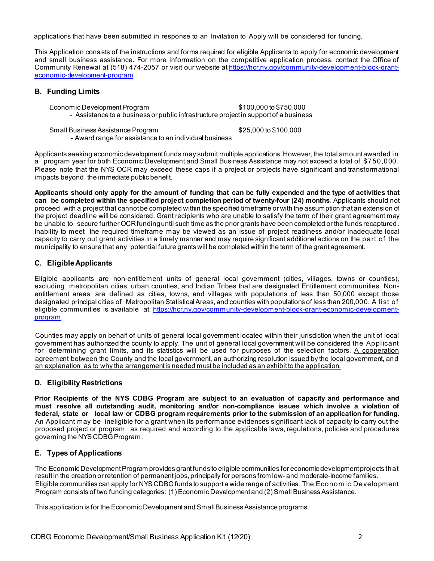applications that have been submitted in response to an Invitation to Apply will be considered for funding.

This Application consists of the instructions and forms required for eligible Applicants to apply for economic development and small business assistance. For more information on the competitive application process, contact the Office of Community Renewal at (518) 474-2057 or visit our website at h[ttps://hcr.ny.gov/community-development-block-grant](https://hcr.ny.gov/community-development-block-grant-economic-development-program)[economic-development-program](https://hcr.ny.gov/community-development-block-grant-economic-development-program)

#### <span id="page-3-0"></span>**B. Funding Limits**

Economic DevelopmentProgram \$100,000 to \$750,000 - Assistance to a business or public infrastructure project in support of a business

Small Business Assistance Program \$25,000 to \$100,000 - Award range for assistance to an individual business

Applicants seeking economic development funds may submit multiple applications.However, the total amount awarded in a program year for both Economic Development and Small Business Assistance may not exceed a total of \$750,000. Please note that the NYS OCR may exceed these caps if a project or projects have significant and transformational impacts beyond the immediate public benefit.

Applicants should only apply for the amount of funding that can be fully expended and the type of activities that **can be completed within the specified project completion period of twenty-four (24) months**. Applicants should not proceed with a project that cannot be completed within the specified timeframe or with the assumption that an extension of the project deadline will be considered. Grant recipients who are unable to satisfy the term of their grant agreement may be unable to secure further OCRfunding until such time as the prior grants have been completed or the funds recaptured. Inability to meet the required timeframe may be viewed as an issue of project readiness and/or inadequate local capacity to carry out grant activities in a timely manner and may require significant additional actions on the part of the municipality to ensure that any potential future grants will be completed withinthe term of the grant agreement.

#### <span id="page-3-1"></span>**C. Eligible Applicants**

Eligible applicants are non-entitlement units of general local government (cities, villages, towns or counties), excluding metropolitan cities, urban counties, and Indian Tribes that are designated Entitlement communities. Nonentitlement areas are defined as cities, towns, and villages with populations of less than 50,000 except those designated principal cities of Metropolitan Statistical Areas, and counties with populations of less than 200,000. A list of eligible communities is available at: htt[ps://hcr.ny.gov/community-development-block-grant-economic-development](https://hcr.ny.gov/community-development-block-grant-economic-development-program)[program](https://hcr.ny.gov/community-development-block-grant-economic-development-program)

Counties may apply on behalf of units of general local government located within their jurisdiction when the unit of local government has authorized the county to apply. The unit of general local government will be considered the Applicant for determining grant limits, and its statistics will be used for purposes of the selection factors. A cooperation agreement between the County and the local government, an authorizing resolution issued by the local government, and an explanation as to why the arrangement is needed must be included as an exhibit to the application.

#### <span id="page-3-2"></span>**D. Eligibility Restrictions**

**Prior Recipients of the NYS CDBG Program are subject to an evaluation of capacity and performance and must resolve all outstanding audit, monitoring and/or non-compliance issues which involve a violation of** federal, state or local law or CDBG program requirements prior to the submission of an application for funding. An Applicant may be ineligible for a grant when its performance evidences significant lack of capacity to carry out the proposed project or program as required and according to the applicable laws, regulations, policies and procedures governing the NYS CDBG Program.

#### <span id="page-3-3"></span>**E. Types of Applications**

The Economic Development Program provides grant funds to eligible communities for economic development projects that result in the creation or retention of permanent jobs, principally for persons from low- and moderate-income families. Eligible communities can apply for NYS CDBGfunds to support a wide range of activities. The Economic Development Program consists of two funding categories: (1) Economic Development and (2) Small Business Assistance.

This application is for the Economic Developmentand SmallBusiness Assistance programs.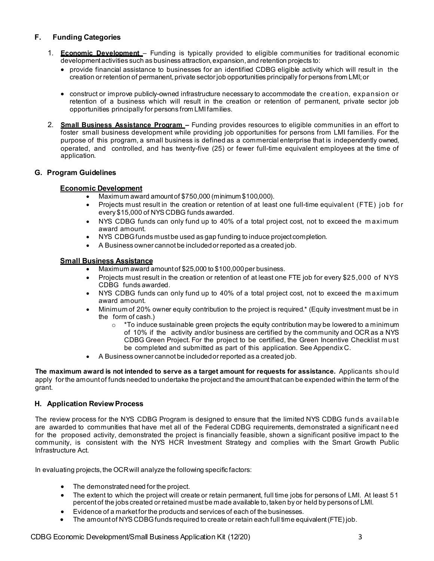# <span id="page-4-0"></span>**F. Funding Categories**

- 1. **Economic Development** Funding is typically provided to eligible communities for traditional economic development activities such as business attraction,expansion, and retention projects to:
	- provide financial assistance to businesses for an identified CDBG eligible activity which will result in the creation or retention of permanent, private sector job opportunities principally for persons from LMI;or
	- construct or improve publicly-owned infrastructure necessary to accommodate the creation, expansion or retention of a business which will result in the creation or retention of permanent, private sector job opportunities principally for persons from LMI families.
- 2. **Small Business Assistance Program –** Funding provides resources to eligible communities in an effort to foster small business development while providing job opportunities for persons from LMI families. For the purpose of this program, a small business is defined as a commercial enterprise that is independently owned, operated, and controlled, and has twenty-five (25) or fewer full-time equivalent employees at the time of application.

#### <span id="page-4-2"></span><span id="page-4-1"></span>**G. Program Guidelines**

#### **Economic Development**

- Maximum award amountof \$750,000 (minimum \$100,000).
- Projects must result in the creation or retention of at least one full-time equivalent (FTE) job for every \$15,000 of NYS CDBG funds awarded.
- NYS CDBG funds can only fund up to 40% of a total project cost, not to exceed the maximum award amount.
- NYS CDBG funds must be used as gap funding to induce project completion.
- A Business owner cannot be includedor reported as a created job.

#### <span id="page-4-3"></span>**Small Business Assistance**

- Maximum award amount of \$25,000 to \$100,000 per business.
- Projects must result in the creation or retention of at least one FTE job for every \$25,000 of NYS CDBG funds awarded.
- NYS CDBG funds can only fund up to 40% of a total project cost, not to exceed the maximum award amount.
- Minimum of 20% owner equity contribution to the project is required.\* (Equity investment must be in the form of cash.)
	- $\circ$  \*To induce sustainable green projects the equity contribution may be lowered to a minimum of 10% if the activity and/or business are certified by the community and OCR as a NYS CDBG Green Project. For the project to be certified, the Green Incentive Checklist must be completed and submitted as part of this application. See Appendix C.
- A Business owner cannot be includedor reported as a created job.

**The maximum award is not intended to serve as a target amount for requests for assistance.** Applicants should apply for the amount of funds needed to undertake the project and the amount that can be expended within the term of the grant.

#### <span id="page-4-4"></span>**H. Application Review Process**

The review process for the NYS CDBG Program is designed to ensure that the limited NYS CDBG funds available are awarded to communities that have met all of the Federal CDBG requirements, demonstrated a significant need for the proposed activity, demonstrated the project is financially feasible, shown a significant positive impact to the community, is consistent with the NYS HCR Investment Strategy and complies with the Smart Growth Public Infrastructure Act.

In evaluating projects, the OCRwill analyze the following specific factors:

- The demonstrated need for the project.
- The extent to which the project will create or retain permanent, full time jobs for persons of LMI. At least 51 percent of the jobs created or retained must be made available to, taken by or held by persons of LMI.
- Evidence of a market for the products and services of each of the businesses.
- The amount of NYS CDBG funds required to create or retain each full time equivalent (FTE) job.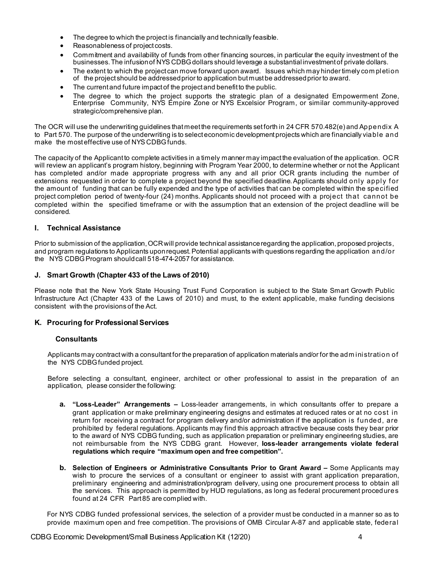- The degree to which the project is financially and technically feasible.
- Reasonableness of project costs.
- Commitment and availability of funds from other financing sources, in particular the equity investment of the businesses. The infusion of NYS CDBG dollars should leverage a substantial investment of private dollars.
- The extent to which the project can move forward upon award. Issues which may hinder timely com pletion of the project should be addressed prior to application but must be addressed prior to award.
- The current and future impact of the project and benefit to the public.
- The degree to which the project supports the strategic plan of a designated Empowerment Zone, Enterprise Community, NYS Empire Zone or NYS Excelsior Program, or similar community-approved strategic/comprehensive plan.

The OCR will use the underwriting guidelines that meet the requirements setforth in 24 CFR 570.482(e) and Appendix A to Part 570. The purpose of the underwriting is to select economic development projects which are financially viable and make the mosteffective use of NYS CDBG funds.

The capacity of the Applicant to complete activities in a timely manner may impactthe evaluation of the application. OCR will review an applicant's program history, beginning with Program Year 2000, to determine whether or not the Applicant has completed and/or made appropriate progress with any and all prior OCR grants including the number of extensions requested in order to complete a project beyond the specified deadline.Applicants should only apply for the amount of funding that can be fully expended and the type of activities that can be completed within the specified project completion period of twenty-four (24) months. Applicants should not proceed with a project that cannot be completed within the specified timeframe or with the assumption that an extension of the project deadline will be considered.

#### <span id="page-5-0"></span>**I. Technical Assistance**

Prior to submission of the application, OCR will provide technical assistance regarding the application, proposed projects, and program regulations to Applicants uponrequest.Potential applicants with questions regarding the application and/or the NYS CDBG Program should call 518-474-2057 for assistance.

#### <span id="page-5-1"></span>**J. Smart Growth (Chapter 433 of the Laws of 2010)**

Please note that the New York State Housing Trust Fund Corporation is subject to the State Smart Growth Public Infrastructure Act (Chapter 433 of the Laws of 2010) and must, to the extent applicable, make funding decisions consistent with the provisions of the Act.

#### <span id="page-5-3"></span><span id="page-5-2"></span>**K. Procuring for Professional Services**

#### **Consultants**

Applicants may contract with a consultant for the preparation of application materials and/or for the adm inistration of the NYS CDBG funded project.

Before selecting a consultant, engineer, architect or other professional to assist in the preparation of an application, please consider the following:

- **a. "Loss-Leader" Arrangements –** Loss-leader arrangements, in which consultants offer to prepare a grant application or make preliminary engineering designs and estimates at reduced rates or at no cost in return for receiving a contract for program delivery and/or administration if the application is funded, are prohibited by federal regulations. Applicants may find this approach attractive because costs they bear prior to the award of NYS CDBG funding, such as application preparation or preliminary engineering studies, are not reimbursable from the NYS CDBG grant. However, **loss-leader arrangements violate federal regulations which require "maximum open and free competition".**
- **b. Selection of Engineers or Administrative Consultants Prior to Grant Award –** Some Applicants may wish to procure the services of a consultant or engineer to assist with grant application preparation, preliminary engineering and administration/program delivery, using one procurement process to obtain all the services. This approach is permitted by HUD regulations, as long as federal procurement procedures found at 24 CFR Part 85 are complied with.

For NYS CDBG funded professional services, the selection of a provider must be conducted in a manner so as to provide maximum open and free competition. The provisions of OMB Circular A-87 and applicable state, federal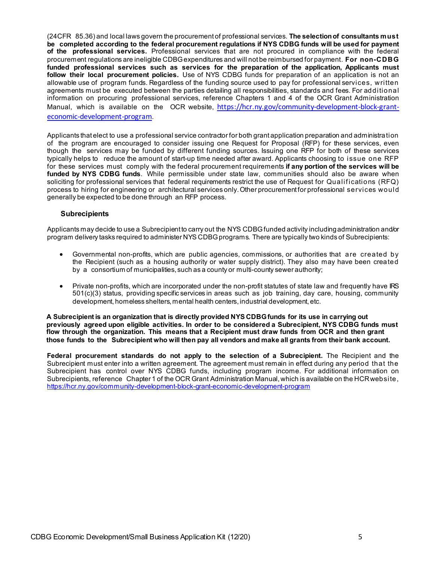(24CFR 85.36) and local laws govern the procurement of professional services. **The selectionof consultants must be completed according to the federal procurement regulations if NYS CDBG funds will be used for payment of the professional services.** Professional services that are not procured in compliance with the federal procurement regulations are ineligible CDBGexpenditures and will not be reimbursed for payment. **For non-CDBG funded professional services such as services for the preparation of the application, Applicants must follow their local procurement policies.** Use of NYS CDBG funds for preparation of an application is not an allowable use of program funds. Regardless of the funding source used to pay for professional services, written agreements must be executed between the parties detailing all responsibilities, standards and fees. For additional information on procuring professional services, reference Chapters 1 and 4 of the OCR Grant Administration Manual, which is available on the OCR website, [https://hcr.ny.gov/community-development-block-grant](https://hcr.ny.gov/community-development-block-grant-economic-development-program)[economic-development-program](https://hcr.ny.gov/community-development-block-grant-economic-development-program).

Applicants that elect to use a professional service contractor for both grant application preparation and administration of the program are encouraged to consider issuing one Request for Proposal (RFP) for these services, even though the services may be funded by different funding sources. Issuing one RFP for both of these services typically helps to reduce the amount of start-up time needed after award. Applicants choosing to issue one RFP for these services must comply with the federal procurement requirements **if any portion of the services will be funded by NYS CDBG funds**. While permissible under state law, communities should also be aware when soliciting for professional services that federal requirements restrict the use of Request for Qualifications (RFQ) process to hiring for engineering or architectural services only.Other procurement for professional services would generally be expected to be done through an RFP process.

#### **Subrecipients**

<span id="page-6-0"></span>Applicants may decide to use a Subrecipient to carry out the NYS CDBGfunded activity includingadministration and/or program delivery tasks required to administer NYS CDBG programs. There are typically two kinds of Subrecipients:

- Governmental non-profits, which are public agencies, commissions, or authorities that are created by the Recipient (such as a housing authority or water supply district). They also may have been created by a consortium of municipalities, such as a county or multi-county sewer authority;
- Private non-profits, which are incorporated under the non-profit statutes of state law and frequently have IRS 501(c)(3) status, providing specific services in areas such as job training, day care, housing, community development, homeless shelters, mental health centers, industrial development, etc.

**A Subrecipient is an organization that is directly provided NYS CDBGfunds for its use in carrying out previously agreed upon eligible activities. In order to be considered a Subrecipient, NYS CDBG funds must flow through the organization. This means that a Recipient must draw funds from OCR and then grant those funds to the Subrecipient who will then pay all vendors and make all grants from their bank account.**

**Federal procurement standards do not apply to the selection of a Subrecipient.** The Recipient and the Subrecipient must enter into a written agreement. The agreement must remain in effect during any period that the Subrecipient has control over NYS CDBG funds, including program income. For additional information on Subrecipients, reference Chapter 1 of the OCR Grant Administration Manual, which is available on the HCR website, <https://hcr.ny.gov/community-development-block-grant-economic-development-program>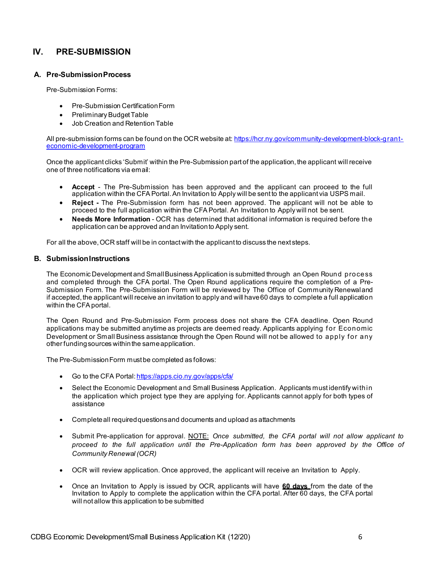# **IV. PRE-SUBMISSION**

#### <span id="page-7-0"></span>**A. Pre-SubmissionProcess**

Pre-Submission Forms:

- Pre-Submission CertificationForm
- Preliminary Budget Table
- Job Creation and Retention Table

All pre-submission forms can be found on the OCR website at: [https://hcr.ny.gov/community-development-block-grant](https://hcr.ny.gov/community-development-block-grant-economic-development-program)[economic-development-program](https://hcr.ny.gov/community-development-block-grant-economic-development-program)

Once the applicant clicks 'Submit' within the Pre-Submission part of the application, the applicant will receive one of three notifications via email:

- **Accept**  The Pre-Submission has been approved and the applicant can proceed to the full application within the CFAPortal.An Invitation to Apply will be sent to the applicant via USPS mail.
- **Reject -** The Pre-Submission form has not been approved. The applicant will not be able to proceed to the full application within the CFAPortal. An Invitation to Apply will not be sent.
- **Needs More Information**  OCR has determined that additional information is required before the application can be approved andan Invitationto Apply sent.

For all the above, OCR staff will be in contact with the applicant to discuss the next steps.

#### <span id="page-7-1"></span>**B. SubmissionInstructions**

The Economic Development and Small Business Application is submitted through an Open Round process and completed through the CFA portal. The Open Round applications require the completion of a Pre-Submission Form. The Pre-Submission Form will be reviewed by The Office of Community Renewaland if accepted, the applicantwill receive an invitation to apply and will have60 days to complete a full application within the CFAportal.

The Open Round and Pre-Submission Form process does not share the CFA deadline. Open Round applications may be submitted anytime as projects are deemed ready. Applicants applying for Economic Development or Small Business assistance through the Open Round will not be allowed to apply for any other fundingsources withinthe sameapplication.

The Pre-SubmissionForm must be completed as follows:

- Go to the CFA Portal: <https://apps.cio.ny.gov/apps/cfa/>
- Select the Economic Development and Small Business Application. Applicants must identify with in the application which project type they are applying for. Applicants cannot apply for both types of assistance
- Completeall requiredquestionsand documents and upload as attachments
- Submit Pre-application for approval. NOTE: *Once submitted, the CFA portal will not allow applicant to proceed to the full application until the Pre-Application form has been approved by the Office of Community Renewal (OCR)*
- OCR will review application. Once approved, the applicant will receive an Invitation to Apply.
- Once an Invitation to Apply is issued by OCR, applicants will have **60 days** from the date of the Invitation to Apply to complete the application within the CFA portal. After 60 days, the CFA portal will not allow this application to be submitted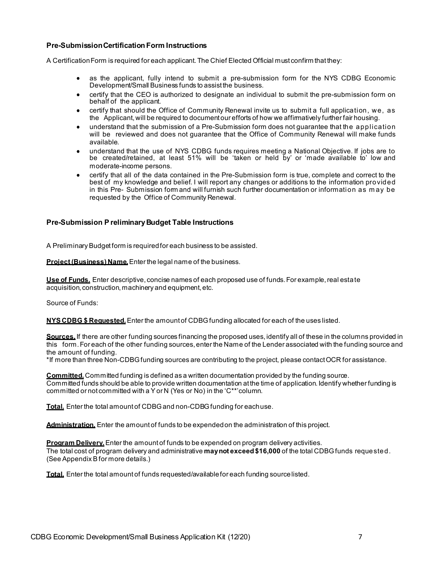#### **Pre-SubmissionCertification Form Instructions**

A Certification Form is required for each applicant. The Chief Elected Official must confirm that they:

- as the applicant, fully intend to submit a pre-submission form for the NYS CDBG Economic Development/Small Business funds to assistthe business.
- certify that the CEO is authorized to designate an individual to submit the pre-submission form on behalf of the applicant.
- certify that should the Office of Community Renewal invite us to submit a full application, we, as the Applicant,will be required to document our efforts of how we affirmatively further fair housing.
- understand that the submission of a Pre-Submission form does not guarantee that the application will be reviewed and does not guarantee that the Office of Community Renewal will make funds available.
- understand that the use of NYS CDBG funds requires meeting a National Objective. If jobs are to be created/retained, at least 51% will be 'taken or held by' or 'made available to' low and moderate-income persons.
- certify that all of the data contained in the Pre-Submission form is true, complete and correct to the best of my knowledge and belief. I will report any changes or additions to the information provided in this Pre- Submission form and will furnish such further documentation or information as may be requested by the Office of Community Renewal.

#### **Pre-Submission P reliminaryBudget Table Instructions**

A Preliminary Budget form is required for each business to be assisted.

**Project (Business) Name.**Enter the legal name of the business.

**Use of Funds.** Enter descriptive, concise names of each proposed use of funds. For example,real estate acquisition, construction, machinery and equipment, etc.

Source of Funds:

**NYS CDBG \$ Requested.**Enter the amount of CDBGfunding allocated for each of the uses listed.

**Sources.** If there are other funding sources financing the proposed uses, identify all of these in the columns provided in this form. For each of the other funding sources, enter the Name of the Lender associated with the funding source and the amount of funding.

\*If more than three Non-CDBG funding sources are contributing to the project, please contact OCR for assistance.

**Committed.**Committed funding is defined as a written documentation provided by the funding source. Committed funds should be able to provide written documentation atthe time of application. Identify whether funding is committed or not committed with a Y or N (Yes or No) in the ' $C^{**}$  column.

**Total.** Enter the total amount of CDBG and non-CDBG funding for each use.

**Administration.** Enter the amount of funds to be expended on the administration of this project.

**Program Delivery.**Enter the amount of funds to be expended on program delivery activities. The total cost of program delivery and administrative **may not exceed \$16,000** of the total CDBGfunds requested. (See Appendix Bfor more details.)

**Total.** Enter the total amount of funds requested/availablefor each funding sourcelisted.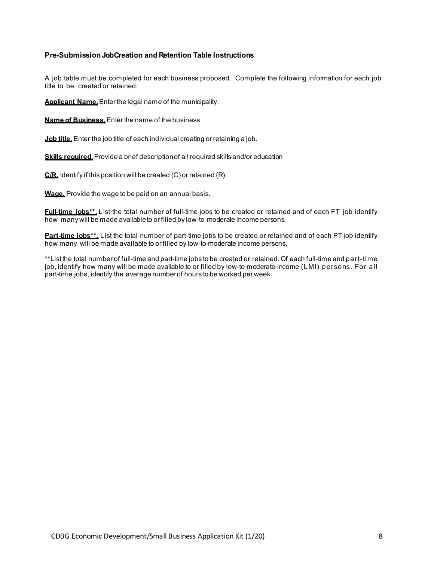#### **Pre-Submission JobCreation and Retention Table Instructions**

A job table must be completed for each business proposed. Complete the following information for each job title to be created or retained:

**Applicant Name.**Enter the legal name of the municipality.

**Name of Business.**Enter the name of the business.

**Job title.** Enter the job title of each individual creating or retaining a job.

**Skills required.** Provide a brief description of all required skills and/or education

**C/R.** Identify if this position will be created (C) or retained (R)

**Wage.** Provide the wage to be paid on an annual basis.

**Full-time jobs\*\*.** List the total number of full-time jobs to be created or retained and of each FT job identify how many will be made availableto or filled by low-to-moderate income persons.

**Part-time jobs\*\*.** List the total number of part-time jobs to be created or retained and of each PT job identify how many will be made available to or filled by low-to-moderate income persons.

**\*\***Listthe total number of full-time and part-time jobs to be created or retained.Of each full-time and part-time job, identify how many will be made available to or filled by low-to moderate-income (LMI) persons. For all part-time jobs, identify the average number of hours to be worked per week.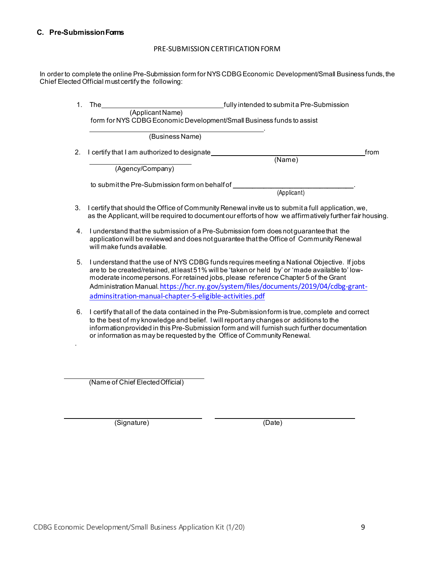.

#### PRE-SUBMISSION CERTIFICATION FORM

<span id="page-10-0"></span>In order to complete the online Pre-Submission form for NYS CDBG Economic Development/Small Business funds, the Chief Elected Official must certify the following:

| $1_{-}$ | The<br>fully intended to submit a Pre-Submission                                                                                                                                                                                                                                                                                                                                                                                       |
|---------|----------------------------------------------------------------------------------------------------------------------------------------------------------------------------------------------------------------------------------------------------------------------------------------------------------------------------------------------------------------------------------------------------------------------------------------|
|         | (Applicant Name)<br>form for NYS CDBG Economic Development/Small Business funds to assist                                                                                                                                                                                                                                                                                                                                              |
|         | (Business Name)                                                                                                                                                                                                                                                                                                                                                                                                                        |
| 2.      | I certify that I am authorized to designate_<br>from<br>(Name)                                                                                                                                                                                                                                                                                                                                                                         |
|         | (Agency/Company)                                                                                                                                                                                                                                                                                                                                                                                                                       |
|         | to submit the Pre-Submission form on behalf of<br>(Applicant)                                                                                                                                                                                                                                                                                                                                                                          |
| 3.      | I certify that should the Office of Community Renewal invite us to submit a full application, we,<br>as the Applicant, will be required to document our efforts of how we affirmatively further fair housing.                                                                                                                                                                                                                          |
| 4.      | I understand that the submission of a Pre-Submission form does not guarantee that the<br>application will be reviewed and does not guarantee that the Office of Community Renewal<br>will make funds available.                                                                                                                                                                                                                        |
| 5.      | I understand that the use of NYS CDBG funds requires meeting a National Objective. If jobs<br>are to be created/retained, at least 51% will be 'taken or held by' or 'made available to' low-<br>moderate income persons. For retained jobs, please reference Chapter 5 of the Grant<br>Administration Manual.https://hcr.ny.gov/system/files/documents/2019/04/cdbg-grant-<br>adminsitration-manual-chapter-5-eligible-activities.pdf |
| 6       | Leertify that all of the data contained in the Pre-Submission form is true, complete, and correct                                                                                                                                                                                                                                                                                                                                      |

6. I certify that all of the data contained in the Pre-Submission form is true, complete and correct to the best of my knowledge and belief. Iwill report any changes or additions to the informationprovided in this Pre-Submission form and will furnish such further documentation or information as may be requested by the Office of Community Renewal.

(Name of Chief ElectedOfficial)

(Signature) and the Communication of Communication (Date)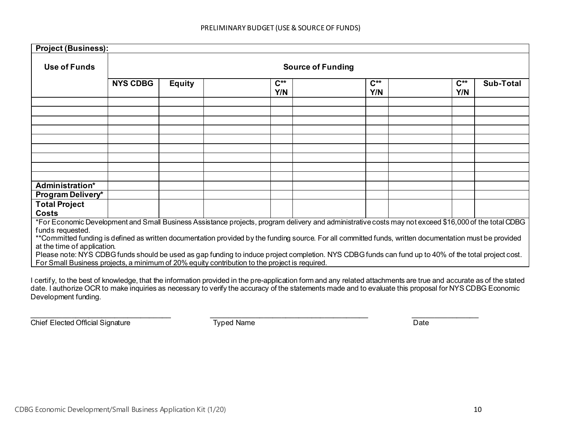| <b>Project (Business):</b>                                                                                                                                                  |                                                                                                                                                       |                          |  |                 |                                                                                                                                                      |                                 |  |                 |                  |
|-----------------------------------------------------------------------------------------------------------------------------------------------------------------------------|-------------------------------------------------------------------------------------------------------------------------------------------------------|--------------------------|--|-----------------|------------------------------------------------------------------------------------------------------------------------------------------------------|---------------------------------|--|-----------------|------------------|
| Use of Funds                                                                                                                                                                |                                                                                                                                                       | <b>Source of Funding</b> |  |                 |                                                                                                                                                      |                                 |  |                 |                  |
|                                                                                                                                                                             | <b>NYS CDBG</b>                                                                                                                                       | <b>Equity</b>            |  | $C^{**}$<br>Y/N |                                                                                                                                                      | $\mathsf{C}^{\ast\star}$<br>Y/N |  | $C^{**}$<br>Y/N | <b>Sub-Total</b> |
|                                                                                                                                                                             |                                                                                                                                                       |                          |  |                 |                                                                                                                                                      |                                 |  |                 |                  |
|                                                                                                                                                                             |                                                                                                                                                       |                          |  |                 |                                                                                                                                                      |                                 |  |                 |                  |
|                                                                                                                                                                             |                                                                                                                                                       |                          |  |                 |                                                                                                                                                      |                                 |  |                 |                  |
|                                                                                                                                                                             |                                                                                                                                                       |                          |  |                 |                                                                                                                                                      |                                 |  |                 |                  |
|                                                                                                                                                                             |                                                                                                                                                       |                          |  |                 |                                                                                                                                                      |                                 |  |                 |                  |
|                                                                                                                                                                             |                                                                                                                                                       |                          |  |                 |                                                                                                                                                      |                                 |  |                 |                  |
|                                                                                                                                                                             |                                                                                                                                                       |                          |  |                 |                                                                                                                                                      |                                 |  |                 |                  |
|                                                                                                                                                                             |                                                                                                                                                       |                          |  |                 |                                                                                                                                                      |                                 |  |                 |                  |
| Administration*<br>Program Delivery*                                                                                                                                        |                                                                                                                                                       |                          |  |                 |                                                                                                                                                      |                                 |  |                 |                  |
| <b>Total Project</b>                                                                                                                                                        |                                                                                                                                                       |                          |  |                 |                                                                                                                                                      |                                 |  |                 |                  |
| <b>Costs</b>                                                                                                                                                                |                                                                                                                                                       |                          |  |                 |                                                                                                                                                      |                                 |  |                 |                  |
|                                                                                                                                                                             | *For Economic Development and Small Business Assistance projects, program delivery and administrative costs may not exceed \$16,000 of the total CDBG |                          |  |                 |                                                                                                                                                      |                                 |  |                 |                  |
| funds requested.<br>**Committed funding is defined as written documentation provided by the funding source. For all committed funds, written documentation must be provided |                                                                                                                                                       |                          |  |                 |                                                                                                                                                      |                                 |  |                 |                  |
|                                                                                                                                                                             | at the time of application.                                                                                                                           |                          |  |                 |                                                                                                                                                      |                                 |  |                 |                  |
| For Small Business projects, a minimum of 20% equity contribution to the project is required.                                                                               |                                                                                                                                                       |                          |  |                 | Please note: NYS CDBG funds should be used as gap funding to induce project completion. NYS CDBG funds can fund up to 40% of the total project cost. |                                 |  |                 |                  |
|                                                                                                                                                                             |                                                                                                                                                       |                          |  |                 |                                                                                                                                                      |                                 |  |                 |                  |

I certify, to the best of knowledge, that the information provided in the pre-application form and any related attachments are true and accurate as of the stated date. I authorize OCR to make inquiries as necessary to verify the accuracy of the statements made and to evaluate this proposal for NYS CDBG Economic Development funding.

Typed Name **Chief Elected Official Signature** Typed Name **Typed Name** Date

 $\_$  , and the set of the set of the set of the set of the set of the set of the set of the set of the set of the set of the set of the set of the set of the set of the set of the set of the set of the set of the set of th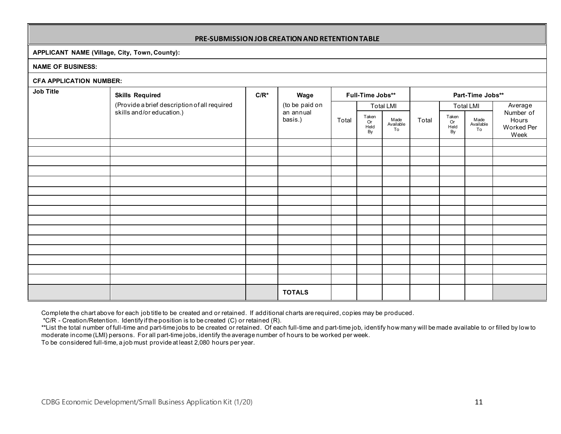#### **PRE-SUBMISSIONJOB CREATIONANDRETENTIONTABLE**

#### **APPLICANT NAME (Village, City, Town, County):**

#### **NAME OF BUSINESS:**

| <b>CFA APPLICATION NUMBER:</b> |                                              |         |                      |                  |                           |                         |                  |                           |                         |                                          |
|--------------------------------|----------------------------------------------|---------|----------------------|------------------|---------------------------|-------------------------|------------------|---------------------------|-------------------------|------------------------------------------|
| Job Title                      | <b>Skills Required</b>                       | $C/R^*$ | Wage                 | Full-Time Jobs** |                           |                         | Part-Time Jobs** |                           |                         |                                          |
|                                | (Provide a brief description of all required |         | (to be paid on       |                  |                           | <b>Total LMI</b>        | Total            |                           | <b>Total LMI</b>        | Average                                  |
|                                | skills and/or education.)                    |         | an annual<br>basis.) | Total            | Taken<br>Or<br>Held<br>By | Made<br>Available<br>To |                  | Taken<br>Or<br>Held<br>By | Made<br>Available<br>To | Number of<br>Hours<br>Worked Per<br>Week |
|                                |                                              |         |                      |                  |                           |                         |                  |                           |                         |                                          |
|                                |                                              |         |                      |                  |                           |                         |                  |                           |                         |                                          |
|                                |                                              |         |                      |                  |                           |                         |                  |                           |                         |                                          |
|                                |                                              |         |                      |                  |                           |                         |                  |                           |                         |                                          |
|                                |                                              |         |                      |                  |                           |                         |                  |                           |                         |                                          |
|                                |                                              |         |                      |                  |                           |                         |                  |                           |                         |                                          |
|                                |                                              |         |                      |                  |                           |                         |                  |                           |                         |                                          |
|                                |                                              |         |                      |                  |                           |                         |                  |                           |                         |                                          |
|                                |                                              |         |                      |                  |                           |                         |                  |                           |                         |                                          |
|                                |                                              |         |                      |                  |                           |                         |                  |                           |                         |                                          |
|                                |                                              |         |                      |                  |                           |                         |                  |                           |                         |                                          |
|                                |                                              |         |                      |                  |                           |                         |                  |                           |                         |                                          |
|                                |                                              |         |                      |                  |                           |                         |                  |                           |                         |                                          |
|                                |                                              |         |                      |                  |                           |                         |                  |                           |                         |                                          |
|                                |                                              |         | <b>TOTALS</b>        |                  |                           |                         |                  |                           |                         |                                          |

Complete the chart above for each job title to be created and or retained. If additional charts are required, copies may be produced.

\*C/R - Creation/Retention. Identify if the position is to be created (C) or retained (R).

\*\*List the total number of full-time and part-time jobs to be created or retained. Of each full-time and part-time job, identify how many will be made available to or filled by low to moderate income (LMI) persons. For all part-time jobs, identify the average number of hours to be worked per week.

To be considered full-time, a job must provide at least 2,080 hours per year.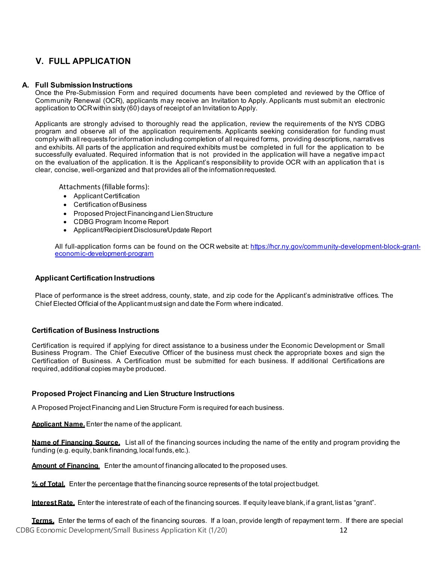# **V. FULL APPLICATION**

#### <span id="page-13-0"></span>**A. Full Submission Instructions**

Once the Pre-Submission Form and required documents have been completed and reviewed by the Office of Community Renewal (OCR), applicants may receive an Invitation to Apply. Applicants must submit an electronic application to OCRwithin sixty (60) days of receipt of an Invitation to Apply.

Applicants are strongly advised to thoroughly read the application, review the requirements of the NYS CDBG program and observe all of the application requirements. Applicants seeking consideration for funding must comply with all requests for information including completion of all required forms, providing descriptions, narratives and exhibits. All parts of the application and required exhibits must be completed in full for the application to be successfully evaluated. Required information that is not provided in the application will have a negative impact on the evaluation of the application. It is the Applicant's responsibility to provide OCR with an application that is clear, concise, well-organized and that provides all of the informationrequested.

Attachments(fillable forms):

- ApplicantCertification
- Certification of Business
- Proposed Project Financing and Lien Structure
- CDBG Program Income Report
- Applicant/Recipient Disclosure/Update Report  $\ddot{\phantom{0}}$

All full-application forms can be found on the OCR website at: <u>https://hcr.ny.gov/community-development-block-grant-</u> [economic-development-program](https://hcr.ny.gov/community-development-block-grant-economic-development-program)

#### **Applicant Certification Instructions**

Place of performance is the street address, county, state, and zip code for the Applicant's administrative offices. The Chief Elected Official of the Applicant must sign and date the Form where indicated.

#### **Certification of Business Instructions**

Certification is required if applying for direct assistance to a business under the Economic Development or Small Business Program. The Chief Executive Officer of the business must check the appropriate boxes and sign the Certification of Business. A Certification must be submitted for each business. If additional Certifications are required, additional copies maybe produced.

#### **Proposed Project Financing and Lien Structure Instructions**

A Proposed ProjectFinancing and Lien Structure Form is required for each business.

**Applicant Name.**Enter the name of the applicant.

**Name of Financing Source.** List all of the financing sources including the name of the entity and program providing the funding (e.g. equity, bank financing, local funds, etc.).

**Amount of Financing**. Enter the amount of financing allocated to the proposed uses.

**% of Total.** Enter the percentage that the financing source represents of the total project budget.

**Interest Rate.** Enter the interest rate of each of the financing sources. If equity leave blank, if a grant, list as "grant".

CDBG Economic Development/Small Business Application Kit (1/20) 12 **Terms.** Enter the terms of each of the financing sources. If a loan, provide length of repayment term. If there are special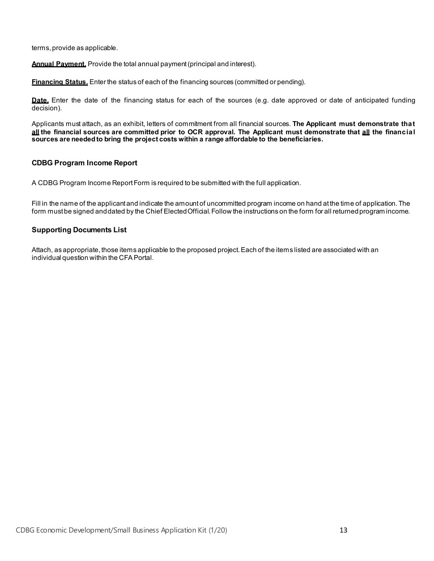terms, provide as applicable.

**Annual Payment.** Provide the total annual payment(principal and interest).

**Financing Status.** Enter the status of each of the financing sources (committed or pending).

**Date.** Enter the date of the financing status for each of the sources (e.g. date approved or date of anticipated funding decision).

Applicants must attach, as an exhibit, letters of commitment from all financial sources. **The Applicant must demonstrate that** all the financial sources are committed prior to OCR approval. The Applicant must demonstrate that all the financial **sources are neededto bring the project costs within a range affordable to the beneficiaries.**

#### **CDBG Program Income Report**

A CDBG Program Income ReportForm is required to be submitted with the full application.

Fill in the name of the applicant and indicate the amount of uncommitted program income on hand at the time of application. The form must be signed and dated by the Chief Elected Official. Follow the instructions on the form for all returned program income.

#### **Supporting Documents List**

Attach, as appropriate, those items applicable to the proposed project.Each of the items listed are associated with an individual question within the CFAPortal.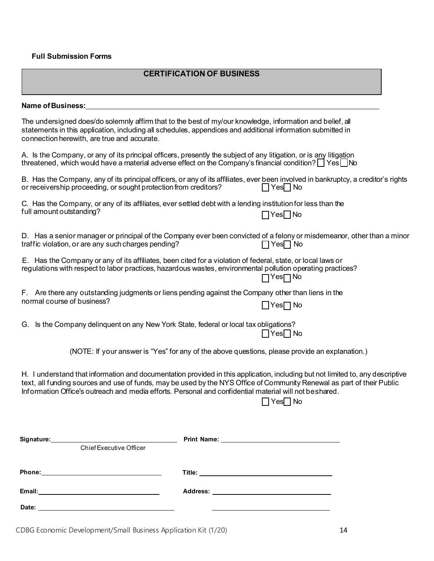#### **Full Submission Forms**

#### **CERTIFICATION OF BUSINESS**

#### Name of Business:

The undersigned does/do solemnly affirm that to the best of my/our knowledge, information and belief, all statements in this application, including all schedules, appendices and additional information submitted in connection herewith, are true and accurate.

A. Is the Company, or any of its principal officers, presently the subject of any litigation, or is any litigation threatened, which would have a material adverse effect on the Company's financial condition?  $\Box$  Yes  $\Box$  No

| B. Has the Company, any of its principal officers, or any of its affiliates, ever been involved in bankruptcy, a creditor's rights |  |  |                      |  |  |
|------------------------------------------------------------------------------------------------------------------------------------|--|--|----------------------|--|--|
| or receivership proceeding, or sought protection from creditors?                                                                   |  |  | $\Box$ Yes $\Box$ No |  |  |

|                          | C. Has the Company, or any of its affiliates, ever settled debt with a lending institution for less than the |
|--------------------------|--------------------------------------------------------------------------------------------------------------|
| full amount outstanding? | $\Box$ Yes $\Box$ No                                                                                         |

|                                                     | D. Has a senior manager or principal of the Company ever been convicted of a felony or misdemeanor, other than a minor |
|-----------------------------------------------------|------------------------------------------------------------------------------------------------------------------------|
| traffic violation, or are any such charges pending? | $\Box$ Yes $\Box$ No                                                                                                   |

| E. Has the Company or any of its affiliates, been cited for a violation of federal, state, or local laws or |
|-------------------------------------------------------------------------------------------------------------|
| regulations with respect to labor practices, hazardous wastes, environmental pollution operating practices? |
| $\Box$ Yes $\Box$ No                                                                                        |

|                            | F. Are there any outstanding judgments or liens pending against the Company other than liens in the |
|----------------------------|-----------------------------------------------------------------------------------------------------|
| normal course of business? | $\Box$ Yes $\Box$ No                                                                                |

G. Is the Company delinquent on any New York State, federal or local tax obligations?  $\Box$  Yes $\Box$  No

(NOTE: If your answer is "Yes" for any of the above questions, please provide an explanation.)

H. I understand that information and documentation provided in this application, including but not limited to, any descriptive text, all funding sources and use of funds, may be used by the NYS Office of Community Renewal as part of their Public Information Office's outreach and media efforts. Personal and confidential material will not beshared.

 $\Box$  Yes $\Box$  No

|        | Chief Executive Officer |  |
|--------|-------------------------|--|
|        |                         |  |
|        |                         |  |
| Email: |                         |  |
| Date:  |                         |  |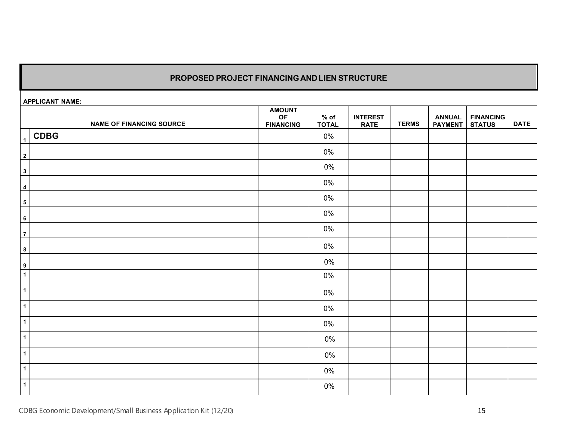# **PROPOSED PROJECT FINANCINGANDLIEN STRUCTURE**

**APPLICANT NAME:**

|                  | APPLICANT NAME:                 |                                         |                        |                                |              |                                 |                                   |             |
|------------------|---------------------------------|-----------------------------------------|------------------------|--------------------------------|--------------|---------------------------------|-----------------------------------|-------------|
|                  | <b>NAME OF FINANCING SOURCE</b> | <b>AMOUNT</b><br>OF<br><b>FINANCING</b> | $%$ of<br><b>TOTAL</b> | <b>INTEREST</b><br><b>RATE</b> | <b>TERMS</b> | <b>ANNUAL</b><br><b>PAYMENT</b> | <b>FINANCING</b><br><b>STATUS</b> | <b>DATE</b> |
| $\mathbf{1}$     | <b>CDBG</b>                     |                                         | $0\%$                  |                                |              |                                 |                                   |             |
| $\overline{2}$   |                                 |                                         | $0\%$                  |                                |              |                                 |                                   |             |
| $\mathbf{3}$     |                                 |                                         | 0%                     |                                |              |                                 |                                   |             |
| $\overline{4}$   |                                 |                                         | $0\%$                  |                                |              |                                 |                                   |             |
| $\sqrt{5}$       |                                 |                                         | $0\%$                  |                                |              |                                 |                                   |             |
| $\bf 6$          |                                 |                                         | $0\%$                  |                                |              |                                 |                                   |             |
| $\overline{7}$   |                                 |                                         | $0\%$                  |                                |              |                                 |                                   |             |
| $\bf{8}$         |                                 |                                         | $0\%$                  |                                |              |                                 |                                   |             |
| $\boldsymbol{9}$ |                                 |                                         | $0\%$                  |                                |              |                                 |                                   |             |
| $\overline{1}$   |                                 |                                         | 0%                     |                                |              |                                 |                                   |             |
| $\mathbf{1}$     |                                 |                                         | $0\%$                  |                                |              |                                 |                                   |             |
| $\mathbf{1}$     |                                 |                                         | $0\%$                  |                                |              |                                 |                                   |             |
| $\mathbf{1}$     |                                 |                                         | $0\%$                  |                                |              |                                 |                                   |             |
| $\mathbf{1}$     |                                 |                                         | 0%                     |                                |              |                                 |                                   |             |
| $\mathbf{1}$     |                                 |                                         | 0%                     |                                |              |                                 |                                   |             |
| $\mathbf{1}$     |                                 |                                         | $0\%$                  |                                |              |                                 |                                   |             |
| $\mathbf{1}$     |                                 |                                         | $0\%$                  |                                |              |                                 |                                   |             |

CDBG Economic Development/Small Business Application Kit (12/20) 15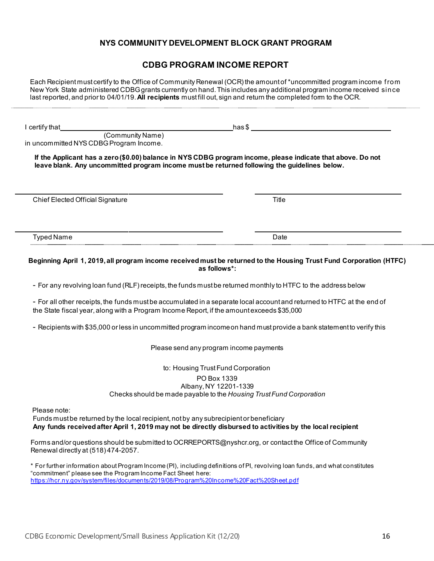# **NYS COMMUNITY DEVELOPMENT BLOCK GRANT PROGRAM**

# **CDBG PROGRAM INCOME REPORT**

Each Recipient must certify to the Office of Community Renewal (OCR) the amount of \*uncommitted program income from New York State administered CDBG grants currently on hand. This includes any additional program income received since last reported, and prior to 04/01/19. **All recipients** must fill out, sign and return the completed form to the OCR.

**I** certify that has \$

 (Community Name) in uncommitted NYS CDBG Program Income.

**If the Applicant has a zero (\$0.00) balance in NYS CDBG program income, please indicate that above. Do not leave blank. Any uncommitted program income must be returned following the guidelines below.**

Chief Elected Official Signature Title Title Shahara Annual State Title Title Title

Typed Name Date Date of the United States of the United States of the Date Date Date

#### **Beginning April 1, 2019, all program income received must be returned to the Housing Trust Fund Corporation (HTFC) as follows\*:**

- For any revolving loan fund (RLF) receipts, the funds must be returned monthly to HTFC to the address below

- For all other receipts, the funds must be accumulated in a separate local account and returned to HTFC at the end of the State fiscal year, along with a Program Income Report, if the amount exceeds \$35,000

- Recipients with \$35,000 or less in uncommitted program incomeon hand must provide a bank statement to verify this

#### Please send any program income payments

#### to: Housing Trust Fund Corporation PO Box 1339 Albany, NY 12201-1339 Checks should be made payable to the *Housing Trust Fund Corporation*

Please note:

Funds must be returned by the local recipient, not by any subrecipient or beneficiary **Any funds received after April 1, 2019 may not be directly disbursed to activities by the local recipient**

Forms and/or questions should be submitted t[o OCRREPORTS@nyshcr.org, o](mailto:OCRREPORTS@nyshcr.org)r contact the Office of Community Renewal directly at (518) 474-2057.

\* For further information about Program Income (PI), including definitions of PI, revolving loan funds, and what constitutes "commitment" please see the Program Income Fact Sheet here: <https://hcr.ny.gov/system/files/documents/2019/08/Program%20Income%20Fact%20Sheet.pdf>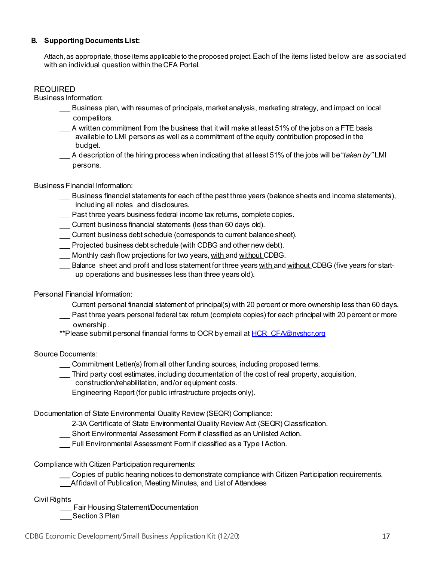#### <span id="page-18-0"></span>**B. Supporting DocumentsList:**

Attach,as appropriate, those items applicableto the proposed project.Each of the items listed below are associated with an individual question within theCFA Portal.

#### REQUIRED

Business Information:

- Business plan, with resumes of principals, market analysis, marketing strategy, and impact on local competitors.
- A written commitment from the business that it will make at least 51% of the jobs on a FTE basis available to LMI persons as well as a commitment of the equity contribution proposed in the budget.
- A description of the hiring process when indicating that at least 51% of the jobs will be "*taken by"* LMI persons.

Business Financial Information:

- Business financial statements for each of the past three years (balance sheets and income statements), including all notes and disclosures.
- Past three years business federal income tax returns, complete copies.
- Current business financial statements (less than 60 days old).
- Current business debt schedule (corresponds to current balancesheet).
- Projected business debt schedule (with CDBG and other new debt).
- Monthly cash flow projections for two years, with and without CDBG.
- Balance sheet and profit and loss statement for three years with and without CDBG (five years for startup operations and businesses less than three years old).

Personal Financial Information:

- Current personal financial statement of principal(s) with 20 percent or more ownership less than 60 days.
- Past three years personal federal tax return (complete copies) for each principal with 20 percent or more ownership.
- \*\*Please submit personal financial forms to OCR by email at **HCR\_CFA@nyshcr.org**

Source Documents:

- Commitment Letter(s) from all other funding sources, including proposed terms.
- Third party cost estimates, including documentation of the cost of real property, acquisition, construction/rehabilitation, and/or equipment costs.
- **Engineering Report (for public infrastructure projects only).**

Documentation of State Environmental Quality Review (SEQR) Compliance:

2-3A Certificate of State Environmental Quality Review Act (SEQR) Classification.

- **Short Environmental Assessment Form if classified as an Unlisted Action.**
- Full Environmental Assessment Form if classified as a Type I Action.

Compliance with Citizen Participation requirements:

Copies of public hearing notices to demonstrate compliance with Citizen Participation requirements. Affidavit of Publication, Meeting Minutes, and List of Attendees

Civil Rights

Fair Housing Statement/Documentation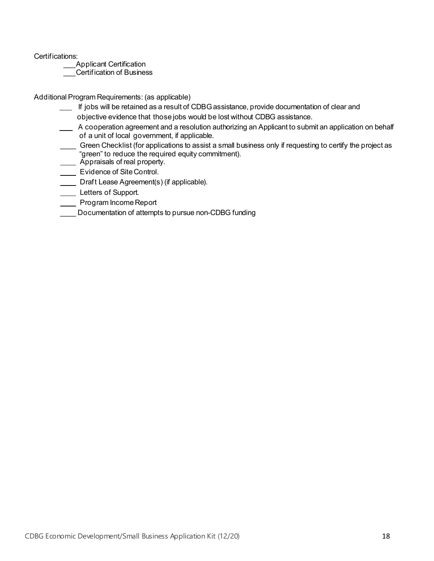Certifications:

\_\_\_Applicant Certification

**Certification of Business** 

Additional Program Requirements: (as applicable)

- If jobs will be retained as a result of CDBG assistance, provide documentation of clear and objective evidence that those jobs would be lost without CDBG assistance.
- A cooperation agreement and a resolution authorizing an Applicant to submit an application on behalf of a unit of local government, if applicable.
- Green Checklist (for applications to assist a small business only if requesting to certify the project as "green" to reduce the required equity commitment).
- Appraisals of real property.
- **Evidence of Site Control.**
- **Draft Lease Agreement(s) (if applicable).**
- Letters of Support.
- **Nogram Income Report**
- Documentation of attempts to pursue non-CDBG funding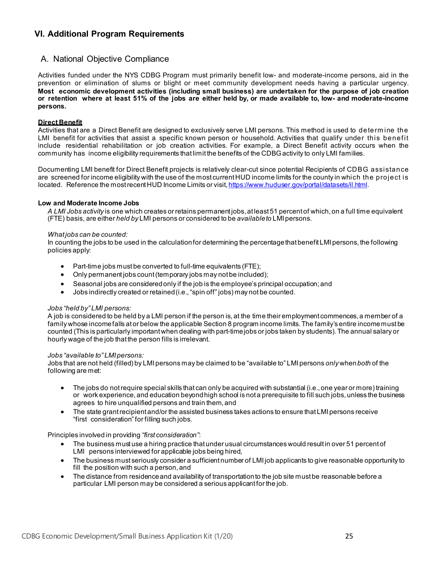# <span id="page-20-0"></span>**VI. Additional Program Requirements**

# <span id="page-20-1"></span>A. National Objective Compliance

Activities funded under the NYS CDBG Program must primarily benefit low- and moderate-income persons, aid in the prevention or elimination of slums or blight or meet community development needs having a particular urgency. **Most economic development activities (including small business) are undertaken for the purpose of job creation or retention where at least 51% of the jobs are either held by, or made available to, low- and moderate-income persons.**

#### <span id="page-20-2"></span>**Direct Benefit**

Activities that are a Direct Benefit are designed to exclusively serve LMI persons. This method is used to determ ine the LMI benefit for activities that assist a specific known person or household. Activities that qualify under this benefit include residential rehabilitation or job creation activities. For example, a Direct Benefit activity occurs when the community has income eligibility requirements that limit the benefits of the CDBGactivity to only LMI families.

Documenting LMI benefit for Direct Benefit projects is relatively clear-cut since potential Recipients of CDBG assistance are screened for income eligibility with the use of the most currentHUD income limits for the county in which the project is located. Reference the most recent HUD Income Limits or visit[, https://www.huduser.gov/portal/datasets/il.html](https://www.huduser.gov/portal/datasets/il.html).

#### <span id="page-20-3"></span>**Low and Moderate Income Jobs**

*A LMI Jobs activity* is one which creates or retains permanent jobs, atleast 51 percent of which, on a full time equivalent (FTE) basis, are either *held by* LMI persons or considered to be *available to* LMI persons.

#### *What jobs can be counted:*

In counting the jobs to be used in the calculation for determining the percentage that benefit LMI persons, the following policies apply:

- Part-time jobs must be converted to full-time equivalents (FTE);
- Only permanent jobs count(temporary jobs may not be included);
- Seasonal jobs are consideredonly if the job is the employee's principal occupation; and
- Jobs indirectly created or retained (i.e.,"spin off" jobs) may not be counted.

#### *Jobs "held by" LMI persons:*

A job is considered to be held by a LMI person if the person is,at the time their employment commences, a member of a family whose incomefalls ator below the applicable Section 8 program income limits. The family's entire incomemustbe counted (This is particularly importantwhen dealing with part-timejobs or jobs taken by students).The annual salary or hourly wage of the job that the person fills is irrelevant.

#### *Jobs "available to" LMI persons:*

Jobs that are not held (filled) by LMI persons may be claimed to be "available to" LMI persons *only* when *both* of the following are met:

- The jobs do not require special skills that can only be acquired with substantial (i.e., one year or more) training or work experience, and education beyond high school is not a prerequisite to fill such jobs, unless the business agrees to hire unqualified persons and train them, and
- The state grantrecipient and/or the assisted business takes actions to ensure that LMI persons receive "first consideration" for filling such jobs.

#### Principles involved in providing *"first consideration"*:

- The business must use a hiring practice that under usual circumstances would result in over 51 percent of LMI persons interviewed for applicable jobs being hired,
- The business must seriously consider a sufficient number of LMI job applicants to give reasonable opportunity to fill the position with such a person, and
- The distance from residenceand availability of transportationto the job site mustbe reasonable before a particular LMI person may be considered a serious applicant for the job.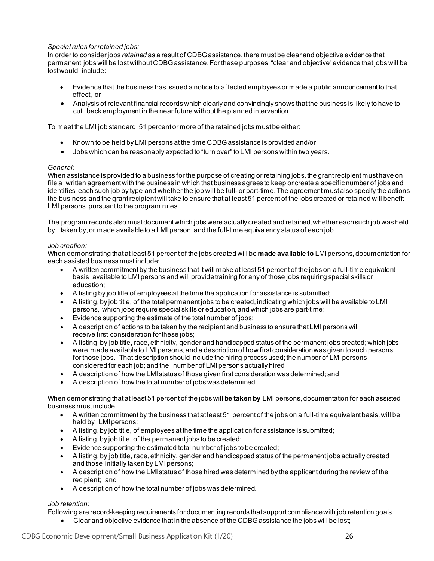#### *Special rules for retained jobs:*

In order to consider jobs *retained* as a result of CDBG assistance, there must be clear and objective evidence that permanent jobs will be lostwithoutCDBGassistance.For these purposes,"clear and objective" evidence that jobs will be lost would include:

- Evidence that the business has issued a notice to affected employees or made a public announcement to that effect, or
- Analysis of relevant financial records which clearly and convincingly shows that the business is likely to have to cut back employment in the near future without the plannedintervention.

To meet the LMI job standard, 51 percent or more of the retained jobs must be either:

- Known to be held by LMI persons atthe time CDBG assistance is provided and/or
- Jobs which can be reasonably expected to "turn over" to LMI persons within two years.

#### *General:*

When assistance is provided to a business for the purpose of creating or retaining jobs, the grant recipient must have on file a written agreementwith the business in which that business agrees to keep or create a specific number of jobs and identifies each such job by type and whether the job will be full- or part-time.The agreement mustalso specify the actions the business and the grantrecipientwill take to ensure that at least 51 percent of the jobs created or retained will benefit LMI persons pursuant to the program rules.

The program records also must document which jobs were actually created and retained, whether each such job was held by, taken by, or made availableto a LMI person, and the full-time equivalency status of each job.

#### *Job creation:*

When demonstrating that atleast 51 percent of the jobs created will be **made available to** LMI persons, documentation for each assisted business mustinclude:

- A written commitmentby the business that it will make at least 51 percent of the jobs on a full-time equivalent basis available to LMI persons and will providetraining for any of those jobs requiring special skills or education;
- A listing by job title of employees at the time the application for assistance is submitted;
- A listing, by job title, of the total permanent jobs to be created, indicating which jobs will be available to LMI persons, which jobs require special skills or education, and which jobs are part-time;
- Evidence supporting the estimate of the total number of jobs;
- A description of actions to be taken by the recipient and business to ensure that LMI persons will receive first consideration for these jobs;
- A listing,by job title, race, ethnicity, gender and handicapped status of the permanent jobs created;which jobs were made available to LMI persons, and a description of how first consideration was given to such persons for those jobs. That description should include the hiring process used; the number of LMI persons considered for each job; and the number of LMI persons actually hired;
- A description of how the LMI status of those given first consideration was determined; and
- A description of how the total number of jobs was determined.

When demonstrating that atleast 51 percent of the jobs will **be takenby** LMI persons, documentation for each assisted business mustinclude:

- A written commitmentby the business that atleast 51 percent of the jobs on a full-time equivalent basis, will be held by LMI persons;
- A listing, by job title, of employees atthe time the application for assistance is submitted;
- A listing, by job title, of the permanent jobs to be created;
- Evidence supporting the estimated total number of jobs to be created;
- A listing,by job title, race, ethnicity, gender and handicapped status of the permanent jobs actually created and those initially taken by LMI persons;
- A description of how the LMI status of those hired was determined by the applicant during the review of the recipient; and
- A description of how the total number of jobs was determined.

#### *Job retention:*

Following are record-keeping requirements for documenting records that support compliancewith job retention goals.

• Clear and objective evidence that in the absence of the CDBG assistance the jobs will be lost;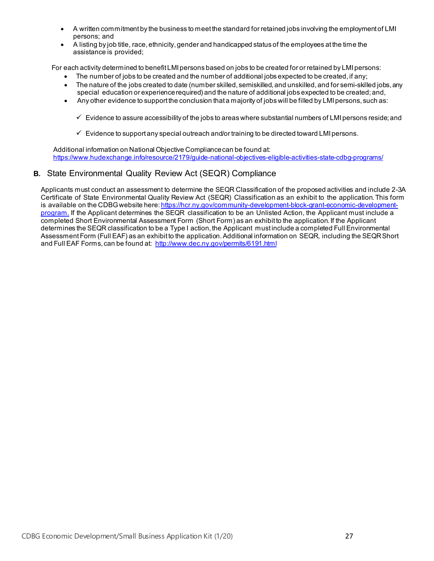- A written commitmentby the business to meet the standard for retained jobs involving the employment of LMI persons; and
- A listing by job title, race, ethnicity, gender and handicapped status of the employees atthe time the assistance is provided;

For each activity determined to benefit LMI persons based on jobs to be created for or retained by LMI persons:

- The number of jobs to be created and the number of additional jobs expected to be created, if any;
- The nature of the jobs created to date (number skilled, semiskilled, and unskilled, and for semi-skilled jobs,any special education or experiencerequired) and the nature of additional jobs expected to be created; and,
- Any other evidence to support the conclusion that a majority of jobs will be filled by LMI persons, such as:
	- $\checkmark$  Evidence to assure accessibility of the jobs to areas where substantial numbers of LMI persons reside; and
	- $\checkmark$  Evidence to support any special outreach and/or training to be directed toward LMI persons.

Additional information on National Objective Compliancecan be found at: <https://www.hudexchange.info/resource/2179/guide-national-objectives-eligible-activities-state-cdbg-programs/>

# <span id="page-22-0"></span>**B.** State Environmental Quality Review Act (SEQR) Compliance

Applicants must conduct an assessment to determine the SEQR Classification of the proposed activities and include 2-3A Certificate of State Environmental Quality Review Act (SEQR) Classification as an exhibit to the application.This form is available on the CDBG website here[: https://hcr.ny.gov/community-development-block-grant-economic-development](https://hcr.ny.gov/community-development-block-grant-economic-development-program)[program](https://hcr.ny.gov/community-development-block-grant-economic-development-program). If the Applicant determines the SEQR classification to be an Unlisted Action, the Applicant must include a completed Short Environmental Assessment Form (Short Form) as an exhibit to the application. If the Applicant determines the SEQR classification to be a Type I action, the Applicant must include a completed Full Environmental AssessmentForm (Full EAF) as an exhibit to the application.Additional information on SEQR, including the SEQRShort and Full EAF Forms, can be found at:<http://www.dec.ny.gov/permits/6191.html>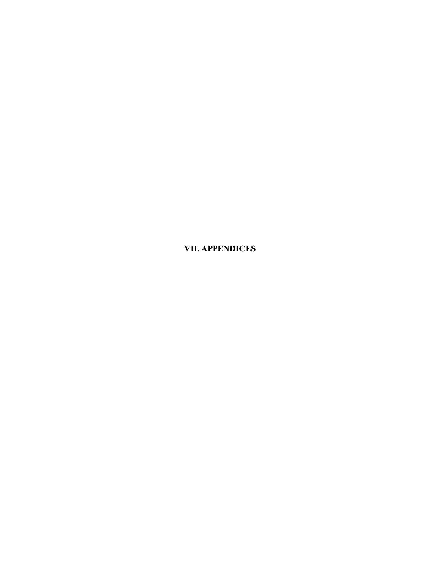<span id="page-23-0"></span>**VII. APPENDICES**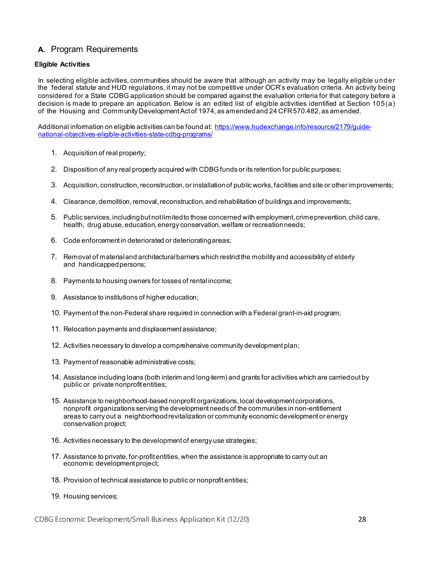# <span id="page-24-0"></span>**A.** Program Requirements

#### <span id="page-24-1"></span>**Eligible Activities**

In selecting eligible activities, communities should be aware that although an activity may be legally eligible under the federal statute and HUD regulations, it may not be competitive under OCR's evaluation criteria. An activity being considered for a State CDBG application should be compared against the evaluation criteria for that category before a decision is made to prepare an application. Below is an edited list of eligible activities identified at Section 105(a) of the Housing and Community Development Act of 1974, as amended and 24 CFR 570.482, as amended.

Additional information on eligible activities can be found at: [https://www.hudexchange.info/resource/2179/guide](https://www.hudexchange.info/resource/2179/guide-national-objectives-eligible-activities-state-cdbg-programs/)[national-objectives-eligible-activities-state-cdbg-programs/](https://www.hudexchange.info/resource/2179/guide-national-objectives-eligible-activities-state-cdbg-programs/)

- 1. Acquisition of real property;
- 2. Disposition of any real property acquired with CDBGfunds or its retention for public purposes;
- 3. Acquisition, construction, reconstruction, or installation of public works, facilities and site or other improvements;
- 4. Clearance, demolition,removal,reconstruction, and rehabilitation of buildings and improvements;
- 5. Public services, including but not limitedto those concerned with employment, crimeprevention, child care, health, drug abuse, education, energy conservation, welfare or recreation needs;
- 6. Code enforcement in deteriorated or deterioratingareas;
- 7. Removal of materialand architecturalbarriers which restrict the mobility and accessibility of elderly and handicapped persons;
- 8. Payments to housing owners for losses of rental income;
- 9. Assistance to institutions of higher education;
- 10. Payment of the non-Federal share required in connection with a Federal grant-in-aid program;
- 11. Relocation payments and displacement assistance;
- 12. Activities necessary to develop a comprehensive community development plan;
- 13. Payment of reasonable administrative costs;
- 14. Assistance including loans (both interim and long-term) and grants for activities which are carried out by public or private nonprofit entities;
- 15. Assistance to neighborhood-based nonprofit organizations, local development corporations, nonprofit organizations serving the development needs of the communities in non-entitlement areas to carry out a neighborhood revitalization or community economic development or energy conservation project;
- 16. Activities necessary to the development of energy use strategies;
- 17. Assistance to private, for-profit entities, when the assistance is appropriate to carry out an economic development project;
- 18. Provision of technical assistance to public or nonprofit entities;
- 19. Housing services;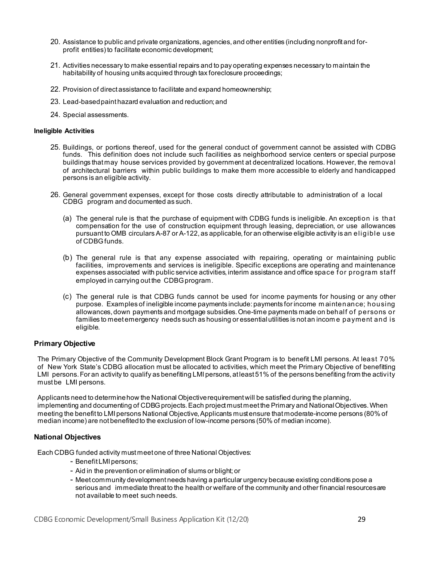- 20. Assistance to public and private organizations, agencies, and other entities (including nonprofit and forprofit entities) to facilitate economic development;
- 21. Activities necessary to make essential repairs and to pay operating expenses necessary to maintain the habitability of housing units acquired through tax foreclosure proceedings;
- 22. Provision of direct assistance to facilitate and expand homeownership;
- 23. Lead-based paint hazard evaluation and reduction; and
- 24. Special assessments.

#### <span id="page-25-0"></span>**Ineligible Activities**

- 25. Buildings, or portions thereof, used for the general conduct of government cannot be assisted with CDBG funds. This definition does not include such facilities as neighborhood service centers or special purpose buildings that may house services provided by government at decentralized locations. However, the removal of architectural barriers within public buildings to make them more accessible to elderly and handicapped persons is an eligible activity.
- 26. General government expenses, except for those costs directly attributable to administration of a local CDBG program and documented as such.
	- (a) The general rule is that the purchase of equipment with CDBG funds is ineligible. An exception is that compensation for the use of construction equipment through leasing, depreciation, or use allowances pursuant to OMB circulars A-87 or A-122, as applicable, for an otherwise eligible activity is an eligible use of CDBGfunds.
	- (b) The general rule is that any expense associated with repairing, operating or maintaining public facilities, improvements and services is ineligible. Specific exceptions are operating and maintenance expenses associated with public service activities,interim assistance and office space for program staff employed in carrying out the CDBG program.
	- (c) The general rule is that CDBG funds cannot be used for income payments for housing or any other purpose. Examples of ineligible income payments include: payments for income m aintenance; housing allowances, down payments and mortgage subsidies.One-time payments made on behalf of persons or families to meet emergency needs such as housing or essential utilities is not an incom e payment and is eligible.

#### <span id="page-25-1"></span>**Primary Objective**

The Primary Objective of the Community Development Block Grant Program is to benefit LMI persons. At least 70% of New York State's CDBG allocation must be allocated to activities, which meet the Primary Objective of benefitting LMI persons. For an activity to qualify as benefiting LMI persons, at least 51% of the persons benefiting from the activity must be LMI persons.

Applicants need to determinehow the National Objectiverequirement will be satisfied during the planning, implementing and documenting of CDBG projects. Each project must meet the Primary and National Objectives. When meeting the benefit to LMI persons National Objective,Applicants must ensure that moderate-income persons (80% of median income) are not benefitedto the exclusion of low-income persons (50% of median income).

#### <span id="page-25-2"></span>**National Objectives**

Each CDBG funded activity must meet one of three National Objectives:

- Benefit LMI persons;
- Aid in the prevention or elimination of slums or blight; or
- Meet community development needs having a particular urgency because existing conditions pose a serious and immediate threat to the health or welfare of the community and other financial resourcesare not available to meet such needs.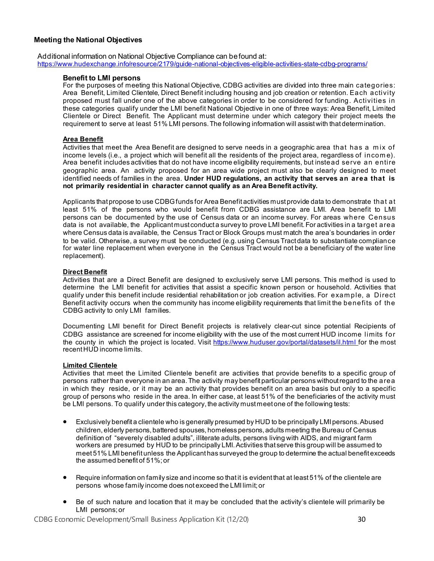#### <span id="page-26-0"></span>**Meeting the National Objectives**

Additional information on National Objective Compliance can befound at: <https://www.hudexchange.info/resource/2179/guide-national-objectives-eligible-activities-state-cdbg-programs/>

#### **Benefit to LMI persons**

For the purposes of meeting this National Objective, CDBG activities are divided into three main categories: Area Benefit, Limited Clientele, Direct Benefit including housing and job creation or retention. Each activity proposed must fall under one of the above categories in order to be considered for funding. Activities in these categories qualify under the LMI benefit National Objective in one of three ways: Area Benefit, Limited Clientele or Direct Benefit. The Applicant must determine under which category their project meets the requirement to serve at least 51% LMI persons.The following information will assistwith that determination.

#### **Area Benefit**

Activities that meet the Area Benefit are designed to serve needs in a geographic area that has a mix of income levels (i.e., a project which will benefit all the residents of the project area, regardless of incom e). Area benefit includes activities that do not have income eligibility requirements, but instead serve an entire geographic area. An activity proposed for an area wide project must also be clearly designed to meet identified needs of families in the area. **Under HUD regulations, an activity that serves an area that is not primarily residential in character cannot qualify as an Area Benefit activity.**

Applicants that propose to use CDBGfunds for Area Benefit activities mustprovide data to demonstrate that at least 51% of the persons who would benefit from CDBG assistance are LMI. Area benefit to LMI persons can be documented by the use of Census data or an income survey. For areas where Census data is not available, the Applicant must conduct a survey to prove LMI benefit. For activities in a target area where Census data is available, the Census Tract or Block Groups must match the area's boundaries in order to be valid. Otherwise, a survey must be conducted (e.g. using Census Tract data to substantiate compliance for water line replacement when everyone in the Census Tract would not be a beneficiary of the water line replacement).

#### **Direct Benefit**

Activities that are a Direct Benefit are designed to exclusively serve LMI persons. This method is used to determine the LMI benefit for activities that assist a specific known person or household. Activities that qualify under this benefit include residential rehabilitation or job creation activities. For exam ple, a Direct Benefit activity occurs when the community has income eligibility requirements that limit the benefits of the CDBG activity to only LMI families.

Documenting LMI benefit for Direct Benefit projects is relatively clear-cut since potential Recipients of CDBG assistance are screened for income eligibility with the use of the most current HUD income limits for the county in which the project is located. Visit <https://www.huduser.gov/portal/datasets/il.html> for the most recent HUD income limits.

#### **Limited Clientele**

Activities that meet the Limited Clientele benefit are activities that provide benefits to a specific group of persons rather than everyone in an area.The activity may benefit particular persons withoutregard to the area in which they reside, or it may be an activity that provides benefit on an area basis but only to a specific group of persons who reside in the area. In either case, at least 51% of the beneficiaries of the activity must be LMI persons. To qualify under this category, the activity must meet one of the following tests:

- Exclusively benefit a clientele who is generally presumed by HUD to be principally LMI persons. Abused children, elderly persons,battered spouses,homeless persons,adults meeting the Bureau of Census definition of "severely disabled adults", illiterate adults, persons living with AIDS, and migrant farm workers are presumed by HUD to be principally LMI.Activities that serve this group will be assumed to meet 51% LMI benefit unless the Applicant has surveyed the group to determine the actual benefit exceeds the assumed benefit of 51%; or
- Require information on family size and income so that it is evident that at least 51% of the clientele are persons whose family income does not exceed the LMI limit; or
- Be of such nature and location that it may be concluded that the activity's clientele will primarily be LMI persons; or

CDBG Economic Development/Small Business Application Kit (12/20) 30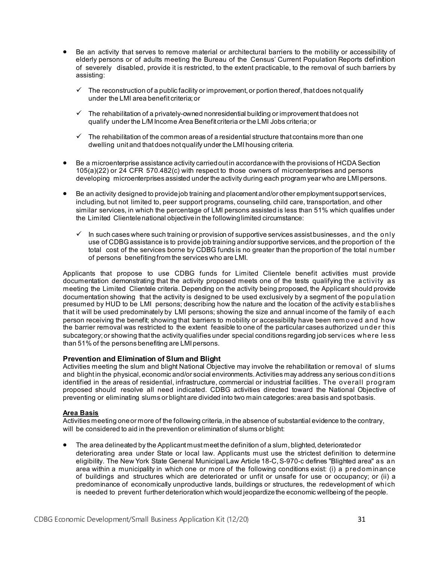- Be an activity that serves to remove material or architectural barriers to the mobility or accessibility of elderly persons or of adults meeting the Bureau of the Census' Current Population Reports definition of severely disabled, provide it is restricted, to the extent practicable, to the removal of such barriers by assisting:
	- $\checkmark$  The reconstruction of a public facility or improvement, or portion thereof, that does not qualify under the LMI area benefit criteria; or
	- $\checkmark$  The rehabilitation of a privately-owned nonresidential building or improvement that does not qualify under the L/M Income Area Benefit criteria or the LMI Jobs criteria; or
	- $\checkmark$  The rehabilitation of the common areas of a residential structure that contains more than one dwelling unit and that does not qualify under the LMI housing criteria.
- Be a microenterprise assistance activity carried out in accordance with the provisions of HCDA Section 105(a)(22) or 24 CFR 570.482(c) with respect to those owners of microenterprises and persons developing microenterprises assisted under the activity during each program year who are LMI persons.
- Be an activity designed to providejob training and placement and/or other employment support services, including, but not limited to, peer support programs, counseling, child care, transportation, and other similar services, in which the percentage of LMI persons assisted is less than 51% which qualifies under the Limited Clientelenational objectivein the following limited circumstance:
	- $\checkmark$  In such cases where such training or provision of supportive services assist businesses, and the only use of CDBGassistance is to provide job training and/or supportive services, and the proportion of the total cost of the services borne by CDBG funds is no greater than the proportion of the total number of persons benefitingfrom the services who are LMI.

Applicants that propose to use CDBG funds for Limited Clientele benefit activities must provide documentation demonstrating that the activity proposed meets one of the tests qualifying the activity as meeting the Limited Clientele criteria. Depending on the activity being proposed, the Applicant should provide documentation showing that the activity is designed to be used exclusively by a segment of the population presumed by HUD to be LMI persons; describing how the nature and the location of the activity establishes that it will be used predominately by LMI persons; showing the size and annual income of the family of each person receiving the benefit; showing that barriers to mobility or accessibility have been rem oved and how the barrier removal was restricted to the extent feasible to one of the particular cases authorized under this subcategory; or showing that the activity qualifies under special conditions regarding job services where less than 51% of the persons benefiting are LMI persons.

#### **Prevention and Elimination of Slum and Blight**

Activities meeting the slum and blight National Objective may involve the rehabilitation or removal of slums and blight in the physical, economic and/or social environments. Activities may address any serious conditions identified in the areas of residential, infrastructure, commercial or industrial facilities. The overall program proposed should resolve all need indicated. CDBG activities directed toward the National Objective of preventing or eliminating slums or blight are divided into two main categories: area basis and spot basis.

#### **Area Basis**

Activities meeting one or more of the following criteria, in the absence of substantial evidence to the contrary, will be considered to aid in the prevention or elimination of slums or blight:

The area delineated by the Applicant must meet the definition of a slum, blighted, deteriorated or deteriorating area under State or local law. Applicants must use the strictest definition to determine eligibility. The New York State General Municipal Law Article 18-C, S-970-c defines "Blighted area" as an area within a municipality in which one or more of the following conditions exist: (i) a predom inance of buildings and structures which are deteriorated or unfit or unsafe for use or occupancy; or (ii) a predominance of economically unproductive lands, buildings or structures, the redevelopment of which is needed to prevent further deterioration which would jeopardizethe economic wellbeing of the people.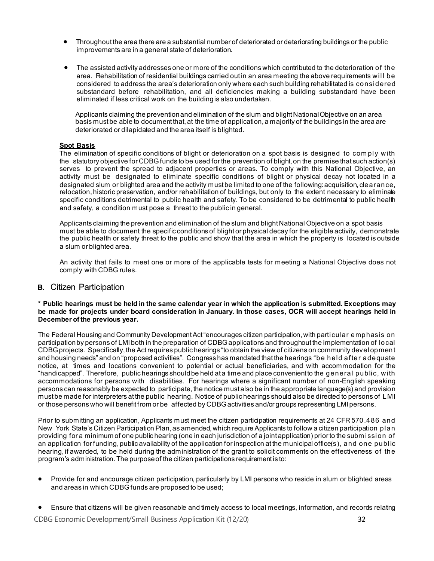- Throughout the area there are a substantial number of deteriorated or deteriorating buildings or the public improvements are in a general state of deterioration.
- The assisted activity addresses one or more of the conditions which contributed to the deterioration of the area. Rehabilitation of residential buildings carried out in an area meeting the above requirements will be considered to address the area's deterioration only where each such building rehabilitated is considered substandard before rehabilitation, and all deficiencies making a building substandard have been eliminated if less critical work on the building is also undertaken.

Applicants claiming the preventionand elimination of the slum and blight NationalObjective on an area basis must be able to document that, at the time of application, a majority of the buildings in the area are deteriorated or dilapidated and the area itself is blighted.

### **Spot Basis**

The elimination of specific conditions of blight or deterioration on a spot basis is designed to comply with the statutory objective for CDBGfunds to be used for the prevention of blight, on the premise that such action(s) serves to prevent the spread to adjacent properties or areas. To comply with this National Objective, an activity must be designated to eliminate specific conditions of blight or physical decay not located in a designated slum or blighted area and the activity mustbe limited to one of the following: acquisition, clearance, relocation, historic preservation, and/or rehabilitation of buildings, but only to the extent necessary to eliminate specific conditions detrimental to public health and safety. To be considered to be detrimental to public health and safety, a condition must pose a threat to the public in general.

Applicants claiming the prevention and elimination of the slum and blight National Objective on a spot basis must be able to document the specific conditions of blight or physical decay for the eligible activity, demonstrate the public health or safety threat to the public and show that the area in which the property is located is outside a slum or blighted area.

An activity that fails to meet one or more of the applicable tests for meeting a National Objective does not comply with CDBG rules.

#### <span id="page-28-0"></span>**B.** Citizen Participation

**\* Public hearings must be held in the same calendar year in which the application is submitted. Exceptions may be made for projects under board consideration in January. In those cases, OCR will accept hearings held in December of the previous year.**

The Federal Housing and Community Development Act"encourages citizen participation, with particular emphasis on participation by persons of LMI both in the preparation of CDBG applications and throughout the implementation of local CDBG projects. Specifically, the Act requires public hearings "to obtain the view of citizens on community development and housing needs" and on "proposed activities". Congress has mandated that the hearings "be held after adequate notice, at times and locations convenient to potential or actual beneficiaries, and with accommodation for the "handicapped". Therefore, public hearings should be held at a time and place convenient to the general public, with accommodations for persons with disabilities. For hearings where a significant number of non-English speaking persons can reasonably be expected to participate, the notice must also be in the appropriate language(s) and provision mustbe made for interpreters at the public hearing. Notice of public hearings should also be directed to persons of LMI or those persons who will benefitfrom or be affected by CDBGactivities and/or groups representing LMI persons.

Prior to submitting an application, Applicants must meet the citizen participation requirements at 24 CFR 570.486 and New York State's Citizen Participation Plan, as amended,which require Applicants to follow a citizen participation plan providing for a minimum of one public hearing (one in each jurisdiction of a joint application) prior to the subm ission of an application for funding, public availability of the application for inspection atthe municipal office(s), and one public hearing, if awarded, to be held during the administration of the grant to solicit comments on the effectiveness of the program's administration.The purpose of the citizen participations requirement is to:

- Provide for and encourage citizen participation, particularly by LMI persons who reside in slum or blighted areas and areas in which CDBGfunds are proposed to be used;
- Ensure that citizens will be given reasonable and timely access to local meetings, information, and records relating

CDBG Economic Development/Small Business Application Kit (12/20) 32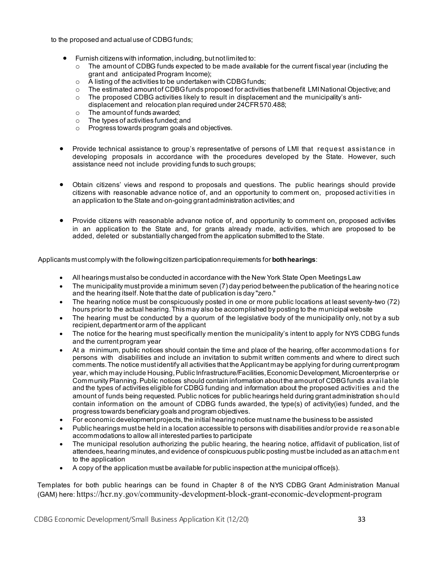to the proposed and actualuse of CDBG funds;

- Furnish citizens with information, including, but not limited to:
	- $\circ$  The amount of CDBG funds expected to be made available for the current fiscal year (including the grant and anticipated Program Income);
	- $\circ$  A listing of the activities to be undertaken with CDBG funds;
	- $\circ$  The estimated amount of CDBG funds proposed for activities that benefit LMI National Objective; and  $\circ$  The proposed CDBG activities likely to result in displacement and the municipality's anti-
	- The proposed CDBG activities likely to result in displacement and the municipality's antidisplacement and relocation plan required under 24CFR570.488;
	- $\circ$  The amount of funds awarded;<br> $\circ$  The types of activities funded: a
	- The types of activities funded; and
	- o Progress towards program goals and objectives.
- Provide technical assistance to group's representative of persons of LMI that request assistance in developing proposals in accordance with the procedures developed by the State. However, such assistance need not include providing funds to such groups;
- Obtain citizens' views and respond to proposals and questions. The public hearings should provide citizens with reasonable advance notice of, and an opportunity to comment on, proposed activities in an application to the State and on-going grant administration activities; and
- Provide citizens with reasonable advance notice of, and opportunity to comment on, proposed activities in an application to the State and, for grants already made, activities, which are proposed to be added, deleted or substantially changed from the application submitted to the State.

Applicants must comply with the following citizen participation requirements for **both hearings**:

- All hearings must also be conducted in accordance with the New York State Open Meetings Law
- The municipality must provide a minimum seven (7) day period between the publication of the hearing notice and the hearing itself. Note that the date of publication is day "zero."
- The hearing notice must be conspicuously posted in one or more public locations at least seventy-two (72) hours prior to the actual hearing. This may also be accomplished by posting to the municipal website
- The hearing must be conducted by a quorum of the legislative body of the municipality only, not by a sub recipient, department or arm of the applicant
- The notice for the hearing must specifically mention the municipality's intent to apply for NYS CDBG funds and the current program year
- At a minimum, public notices should contain the time and place of the hearing, offer accommodations for persons with disabilities and include an invitation to submit written comments and where to direct such comments.The notice must identify all activities that the Applicant may be applying for during current program year, which may include Housing, Public Infrastructure/Facilities, Economic Development, Microenterprise or Community Planning.Public notices should contain information about the amount of CDBG funds available and the types of activities eligible for CDBG funding and information about the proposed activities and the amount of funds being requested. Public notices for public hearings held during grant administration should contain information on the amount of CDBG funds awarded, the type(s) of activity(ies) funded, and the progress towards beneficiary goals and program objectives.
- For economic development projects, the initial hearing notice must name the business to be assisted
- Public hearings must be held in a location accessible to persons with disabilities and/or provide reasonable accommodations to allow all interested parties to participate
- The municipal resolution authorizing the public hearing, the hearing notice, affidavit of publication, list of attendees, hearing minutes, and evidence of conspicuous public posting must be included as an attachm ent to the application
- A copy of the application must be available for public inspection at the municipal office(s).

Templates for both public hearings can be found in Chapter 8 of the NYS CDBG Grant Administration Manual (GAM) here: https://hcr.ny.gov/community-development-block-grant-economic-development-program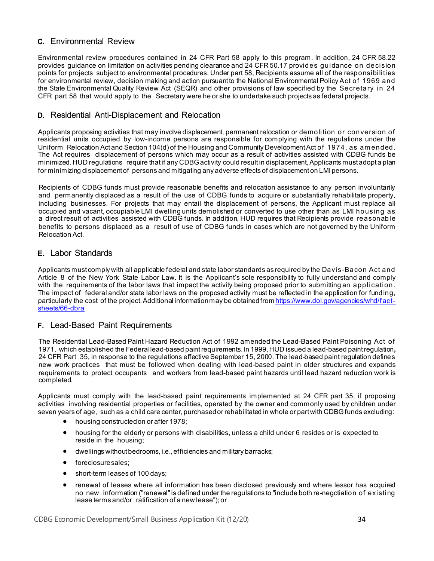# <span id="page-30-0"></span>**C.** Environmental Review

Environmental review procedures contained in 24 CFR Part 58 apply to this program. In addition, 24 CFR 58.22 provides guidance on limitation on activities pending clearance and 24 CFR 50.17 provides guidance on decision points for projects subject to environmental procedures. Under part 58, Recipients assume all of the responsibilities for environmental review, decision making and action pursuant to the National Environmental PolicyAct of 1969 and the State Environmental Quality Review Act (SEQR) and other provisions of law specified by the Secretary in 24 CFR part 58 that would apply to the Secretary were he or she to undertake such projects as federal projects.

### <span id="page-30-1"></span>**D.** Residential Anti-Displacement and Relocation

Applicants proposing activities that may involve displacement, permanent relocation or demolition or conversion of residential units occupied by low-income persons are responsible for complying with the regulations under the Uniform Relocation Actand Section 104(d) of the Housing and Community DevelopmentAct of 1974, as am ended. The Act requires displacement of persons which may occur as a result of activities assisted with CDBG funds be minimized. HUD regulations require that if any CDBG activity could result in displacement, Applicants mustadopt a plan for minimizing displacement of persons and mitigating any adverse effects of displacement on LMI persons.

Recipients of CDBG funds must provide reasonable benefits and relocation assistance to any person involuntarily and permanently displaced as a result of the use of CDBG funds to acquire or substantially rehabilitate property, including businesses. For projects that may entail the displacement of persons, the Applicant must replace all occupied and vacant, occupiable LMI dwelling units demolished or converted to use other than as LMI housing as a direct result of activities assisted with CDBG funds. In addition, HUD requires that Recipients provide reasonable benefits to persons displaced as a result of use of CDBG funds in cases which are not governed by the Uniform Relocation Act.

### <span id="page-30-2"></span>**E.** Labor Standards

Applicants must comply with all applicable federal and state labor standards as required by the Davis-Bacon Act and Article 8 of the New York State Labor Law. It is the Applicant's sole responsibility to fully understand and comply with the requirements of the labor laws that impact the activity being proposed prior to submitting an application. The impact of federal and/or state labor laws on the proposed activity must be reflected in the application for funding, particularly the cost of the project. Additional informationmay be obtained from [https://www.dol.gov/agencies/whd/fact](https://www.dol.gov/agencies/whd/fact-sheets/66-dbra)[sheets/66-dbra](https://www.dol.gov/agencies/whd/fact-sheets/66-dbra)

#### <span id="page-30-3"></span>**F.** Lead-Based Paint Requirements

The Residential Lead-Based Paint Hazard Reduction Act of 1992 amended the Lead-Based Paint Poisoning Act of 1971, which established the Federal lead-based paintrequirements. In 1999,HUD issued a lead-based paintregulation**,**  24 CFR Part 35, in response to the regulations effective September 15, 2000. The lead-based paint regulation defines new work practices that must be followed when dealing with lead-based paint in older structures and expands requirements to protect occupants and workers from lead-based paint hazards until lead hazard reduction work is completed.

Applicants must comply with the lead-based paint requirements implemented at 24 CFR part 35, if proposing activities involving residential properties or facilities, operated by the owner and commonly used by children under seven years of age, such as a child care center, purchased or rehabilitated in whole or partwith CDBG funds excluding:

- housing constructed on or after 1978;
- housing for the elderly or persons with disabilities, unless a child under 6 resides or is expected to reside in the housing;
- dwellings withoutbedrooms, i.e., efficiencies and military barracks;
- foreclosure sales;
- short-term leases of 100 days;
- renewal of leases where all information has been disclosed previously and where lessor has acquired no new information ("renewal"is defined under the regulations to "include both re-negotiation of existing lease terms and/or ratification of a new lease"); or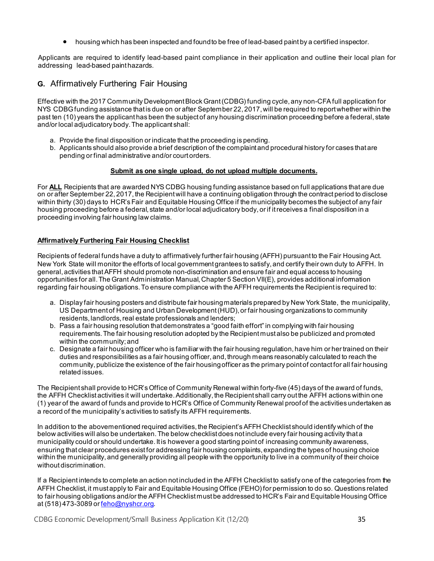• housing which has been inspected and found to be free of lead-based paint by a certified inspector.

Applicants are required to identify lead-based paint compliance in their application and outline their local plan for addressing lead-based paint hazards.

# <span id="page-31-0"></span>**G.** Affirmatively Furthering Fair Housing

Effective with the 2017 Community Development Block Grant (CDBG) funding cycle, any non-CFA full application for NYS CDBG funding assistance that is due on or after September 22, 2017, will be required to report whether within the past ten (10) years the applicant has been the subject of any housing discrimination proceeding before a federal, state and/or local adjudicatory body. The applicant shall:

- a. Provide the final disposition or indicate that the proceeding is pending.
- b. Applicants should also provide a brief description of the complaint and procedural history for cases that are pending or final administrative and/or court orders.

#### **Submit as one single upload, do not upload multiple documents.**

For **ALL** Recipients that are awarded NYS CDBG housing funding assistance based on full applications that are due on or after September 22, 2017, the Recipient will have a continuing obligation through the contract period to disclose within thirty (30) days to HCR's Fair and Equitable Housing Office if the municipality becomes the subject of any fair housing proceeding before a federal, state and/or local adjudicatory body, or if it receives a final disposition in a proceeding involving fair housing law claims.

#### **Affirmatively Furthering Fair Housing Checklist**

Recipients of federal funds have a duty to affirmatively further fair housing (AFFH) pursuant to the Fair Housing Act. New York State will monitor the efforts of local government grantees to satisfy, and certify their own duty to AFFH. In general, activities that AFFH should promote non-discrimination and ensure fair and equal access to housing opportunities for all. The Grant Administration Manual, Chapter 5 Section VII(E), provides additional information regarding fair housing obligations. To ensure compliance with the AFFH requirements the Recipient is required to:

- a. Display fair housing posters and distribute fair housing materials prepared by New York State, the municipality, US Department of Housing and Urban Development (HUD), or fair housing organizations to community residents, landlords, real estate professionals and lenders;
- b. Pass a fair housing resolution that demonstrates a "good faith effort" in complying with fair housing requirements. The fair housing resolution adopted by the Recipient must also be publicized and promoted within the community; and
- c. Designate a fair housing officer who is familiar with the fair housing regulation, have him or her trained on their duties and responsibilities as a fair housing officer, and, through means reasonably calculated to reach the community, publicize the existence of the fair housing officer as the primary point of contact for all fair housing related issues.

The Recipient shall provide to HCR's Office of Community Renewal within forty-five (45) days of the award of funds, the AFFH Checklist activities it will undertake. Additionally, the Recipient shall carry out the AFFH actions within one (1) year of the award of funds and provide to HCR's Office of Community Renewal proof of the activities undertaken as a record of the municipality's activities to satisfy its AFFH requirements.

In addition to the abovementioned required activities, the Recipient's AFFH Checklist should identify which of the below activities will also be undertaken. The below checklist does not include every fair housing activity that a municipality could or should undertake. It is however a good starting point of increasing community awareness, ensuring that clear procedures exist for addressing fair housing complaints, expanding the types of housing choice within the municipality, and generally providing all people with the opportunity to live in a community of their choice without discrimination.

If a Recipient intends to complete an action not included in the AFFH Checklist to satisfy one of the categories from the AFFH Checklist, it must apply to Fair and Equitable Housing Office (FEHO) for permission to do so. Questions related to fair housing obligations and/or the AFFH Checklist must be addressed to HCR's Fair and Equitable Housing Office at (518) 473-3089 o[r feho@nyshcr.org](mailto:feho@nyshcr.org).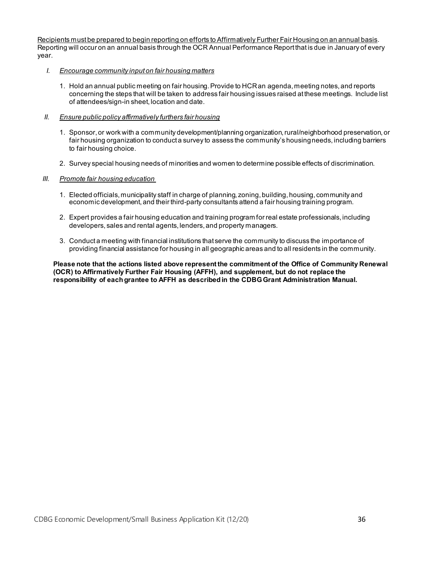Recipients must be prepared to begin reporting on efforts to Affirmatively Further Fair Housing on an annual basis. Reporting will occur on an annual basis through the OCR Annual Performance Report that is due in January of every year.

- *I. Encourage community input on fair housing matters*
	- 1. Hold an annual public meeting on fair housing. Provide to HCR an agenda, meeting notes, and reports concerning the steps that will be taken to address fair housing issues raised at these meetings. Include list of attendees/sign-in sheet, location and date.

#### *II. Ensure public policy affirmatively furthers fair housing*

- 1. Sponsor, or work with a community development/planning organization, rural/neighborhood preservation, or fair housing organization to conduct a survey to assess the community's housing needs, including barriers to fair housing choice.
- 2. Survey special housing needs of minorities and women to determine possible effects of discrimination.

#### *III. Promote fair housing education*

- 1. Elected officials, municipality staff in charge of planning, zoning, building, housing, community and economic development, and their third-party consultants attend a fair housing training program.
- 2. Expert provides a fair housing education and training program for real estate professionals, including developers, sales and rental agents, lenders, and property managers.
- 3. Conduct a meeting with financial institutions that serve the community to discuss the importance of providing financial assistance for housing in all geographic areas and to all residents in the community.

**Please note that the actions listed above represent the commitment of the Office of Community Renewal (OCR) to Affirmatively Further Fair Housing (AFFH), and supplement, but do not replace the responsibility of each grantee to AFFH as described in the CDBGGrant Administration Manual.**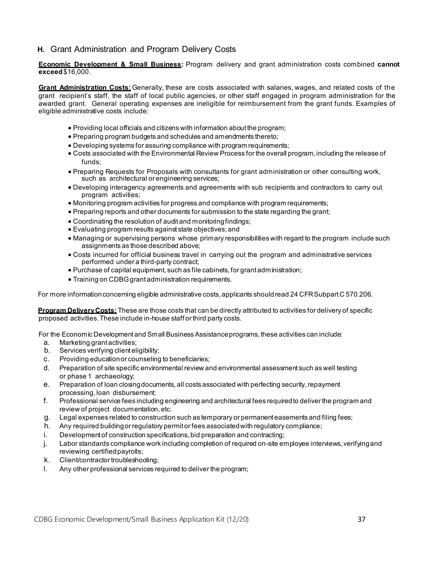# <span id="page-33-0"></span>**H.** Grant Administration and Program Delivery Costs

**Economic Development & Small Business:** Program delivery and grant administration costs combined **cannot exceed**\$16,000.

**Grant Administration Costs:** Generally, these are costs associated with salaries, wages, and related costs of the grant recipient's staff, the staff of local public agencies, or other staff engaged in program administration for the awarded grant. General operating expenses are ineligible for reimbursement from the grant funds. Examples of eligible administrative costs include:

- Providing local officials and citizens with information about the program;
- Preparing program budgets and schedules and amendments thereto;
- Developing systems for assuring compliance with program requirements;
- Costs associated with the Environmental Review Process for the overall program, including the release of funds;
- Preparing Requests for Proposals with consultants for grant administration or other consulting work, such as architectural or engineering services;
- Developing interagency agreements and agreements with sub recipients and contractors to carry out program activities;
- Monitoring program activities for progress and compliance with program requirements;
- Preparing reports and other documents for submission to the state regarding the grant;
- Coordinating the resolution of audit and monitoring findings;
- Evaluating program results against state objectives; and
- Managing or supervising persons whose primary responsibilities with regard to the program include such assignments as those described above;
- Costs incurred for official business travel in carrying out the program and administrative services performed under a third-party contract;
- Purchase of capital equipment, such as file cabinets, for grant administration;
- Training on CDBG grant administration requirements.

For more information concerning eligible administrative costs, applicants should read 24 CFR Subpart C 570.206.

**Program DeliveryCosts:** These are those costs that can be directly attributed to activities for delivery of specific proposed activities. These include in-house staff or third party costs.

For the Economic Development and Small Business Assistance programs, these activities can include:

- a. Marketing grant activities;
- b. Services verifying client eligibility;
- c. Providing educationor counseling to beneficiaries;
- d. Preparation of site specific environmental review and environmental assessment such as well testing or phase 1 archaeology;
- e. Preparation of loan closing documents, all costs associated with perfecting security, repayment processing, loan disbursement;
- f. Professional service fees including engineering and architectural fees requiredto deliver the program and review of project documentation, etc.
- g. Legal expenses related to construction such as temporary or permanent easements and filing fees;
- h. Any required building or regulatory permit or fees associatedwith regulatory compliance;
- i. Development of construction specifications, bid preparation and contracting;
- j. Labor standards compliance work including completion of required on-site employee interviews, verifyingand reviewing certified payrolls;
- k. Client/contractor troubleshooting;
- l. Any other professional services required to deliver the program;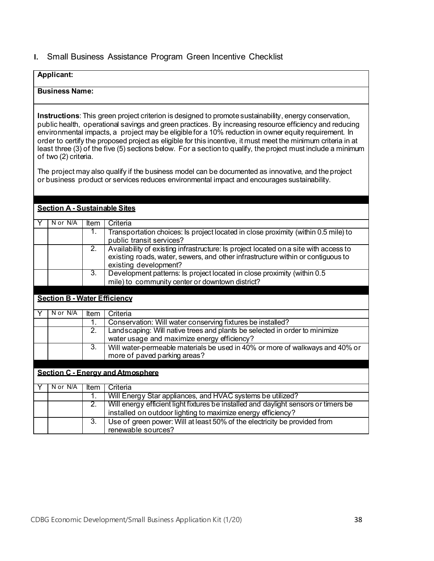## <span id="page-34-0"></span>**I.** Small Business Assistance Program Green Incentive Checklist

# **Applicant:**

#### **Business Name:**

**Instructions**: This green project criterion is designed to promotesustainability, energy conservation, public health, operational savings and green practices. By increasing resource efficiency and reducing environmental impacts, a project may be eligible for a 10% reduction in owner equity requirement. In order to certify the proposed project as eligible for this incentive, it must meet the minimum criteria in at least three (3) of the five (5) sections below. For a sectionto qualify, theproject must include a minimum of two (2) criteria.

The project may also qualify if the business model can be documented as innovative, and the project or business product or services reduces environmental impact and encourages sustainability.

| <b>Section A - Sustainable Sites</b> |                  |                                                                                      |
|--------------------------------------|------------------|--------------------------------------------------------------------------------------|
| N or N/A                             | Item             | Criteria                                                                             |
|                                      |                  |                                                                                      |
|                                      | 1.               | Transportation choices: Is project located in close proximity (within 0.5 mile) to   |
|                                      |                  | public transit services?                                                             |
|                                      | 2.               | Availability of existing infrastructure: Is project located on a site with access to |
|                                      |                  | existing roads, water, sewers, and other infrastructure within or contiguous to      |
|                                      |                  | existing development?                                                                |
|                                      | $\overline{3}$ . | Development patterns: Is project located in close proximity (within 0.5              |
|                                      |                  | mile) to community center or downtown district?                                      |
|                                      |                  |                                                                                      |
| <b>Section B - Water Efficiency</b>  |                  |                                                                                      |
|                                      |                  |                                                                                      |
| N or N/A                             | Item             | Criteria                                                                             |
|                                      | 1.               | Conservation: Will water conserving fixtures be installed?                           |
|                                      | $\overline{2}$ . | Landscaping: Will native trees and plants be selected in order to minimize           |
|                                      |                  | water usage and maximize energy efficiency?                                          |
|                                      | 3.               | Will water-permeable materials be used in 40% or more of walkways and 40% or         |
|                                      |                  | more of paved parking areas?                                                         |
|                                      |                  |                                                                                      |
|                                      |                  | <b>Section C - Energy and Atmosphere</b>                                             |
|                                      |                  |                                                                                      |
| N or N/A                             | Item             | Criteria                                                                             |
|                                      | 1.               | Will Energy Star appliances, and HVAC systems be utilized?                           |
|                                      | $\overline{2}$ . | Will energy efficient light fixtures be installed and daylight sensors or timers be  |
|                                      |                  | installed on outdoor lighting to maximize energy efficiency?                         |
|                                      | $\overline{3}$ . | Use of green power: Will at least 50% of the electricity be provided from            |
|                                      |                  | renewable sources?                                                                   |
|                                      |                  |                                                                                      |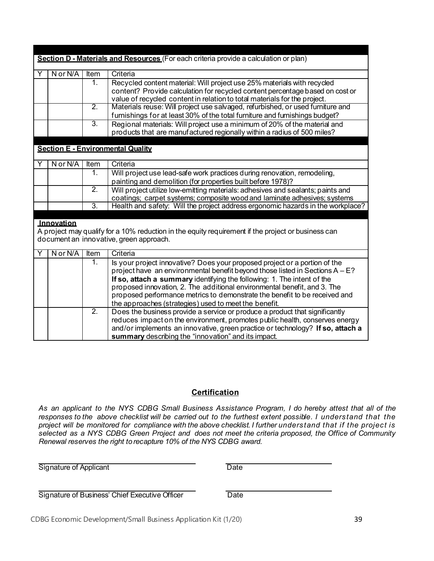| Section D - Materials and Resources (For each criteria provide a calculation or plan)              |          |                          |                                                                                 |
|----------------------------------------------------------------------------------------------------|----------|--------------------------|---------------------------------------------------------------------------------|
|                                                                                                    | N or N/A | Item                     | Criteria                                                                        |
|                                                                                                    |          | $\overline{1}$ .         | Recycled content material: Will project use 25% materials with recycled         |
|                                                                                                    |          |                          | content? Provide calculation for recycled content percentage based on cost or   |
|                                                                                                    |          |                          | value of recycled content in relation to total materials for the project.       |
|                                                                                                    |          | $\overline{2}$ .         | Materials reuse: Will project use salvaged, refurbished, or used furniture and  |
|                                                                                                    |          |                          | furnishings for at least 30% of the total furniture and furnishings budget?     |
|                                                                                                    |          | $\overline{3}$ .         | Regional materials: Will project use a minimum of 20% of the material and       |
|                                                                                                    |          |                          | products that are manufactured regionally within a radius of 500 miles?         |
|                                                                                                    |          |                          |                                                                                 |
| <b>Section E - Environmental Quality</b>                                                           |          |                          |                                                                                 |
|                                                                                                    | N or N/A | $\overline{\text{Item}}$ | Criteria                                                                        |
|                                                                                                    |          | 1.                       | Will project use lead-safe work practices during renovation, remodeling,        |
|                                                                                                    |          |                          | painting and demolition (for properties built before 1978)?                     |
|                                                                                                    |          | $\overline{2}$ .         | Will project utilize low-emitting materials: adhesives and sealants; paints and |
|                                                                                                    |          |                          | coatings; carpet systems; composite wood and laminate adhesives; systems        |
|                                                                                                    |          | $\overline{3}$ .         | Health and safety: Will the project address ergonomic hazards in the workplace? |
|                                                                                                    |          |                          |                                                                                 |
| Innovation                                                                                         |          |                          |                                                                                 |
| A project may qualify for a 10% reduction in the equity requirement if the project or business can |          |                          |                                                                                 |
| document an innovative, green approach.                                                            |          |                          |                                                                                 |
|                                                                                                    | N or N/A | Item                     | Criteria                                                                        |
|                                                                                                    |          | 1.                       | Is your project innovative? Does your proposed project or a portion of the      |
|                                                                                                    |          |                          | project have an environmental benefit beyond those listed in Sections A - E?    |
|                                                                                                    |          |                          | If so, attach a summary identifying the following: 1. The intent of the         |
|                                                                                                    |          |                          | proposed innovation, 2. The additional environmental benefit, and 3. The        |
|                                                                                                    |          |                          | proposed performance metrics to demonstrate the benefit to be received and      |
|                                                                                                    |          |                          | the approaches (strategies) used to meet the benefit.                           |
|                                                                                                    |          | $\overline{2}$ .         | Does the business provide a service or produce a product that significantly     |
|                                                                                                    |          |                          | reduces impact on the environment, promotes public health, conserves energy     |
|                                                                                                    |          |                          | and/or implements an innovative, green practice or technology? If so, attach a  |
|                                                                                                    |          |                          | summary describing the "innovation" and its impact.                             |

# **Certification**

As an applicant to the NYS CDBG Small Business Assistance Program, I do hereby attest that all of the responses to the above checklist will be carried out to the furthest extent possible. I understand that the project will be monitored for compliance with the above checklist. I further understand that if the project is selected as a NYS CDBG Green Project and does not meet the criteria proposed, the Office of Community *Renewal reserves the right torecapture 10% of the NYS CDBG award.*

Signature of Applicant Date

Signature of Business' Chief Executive Officer Date